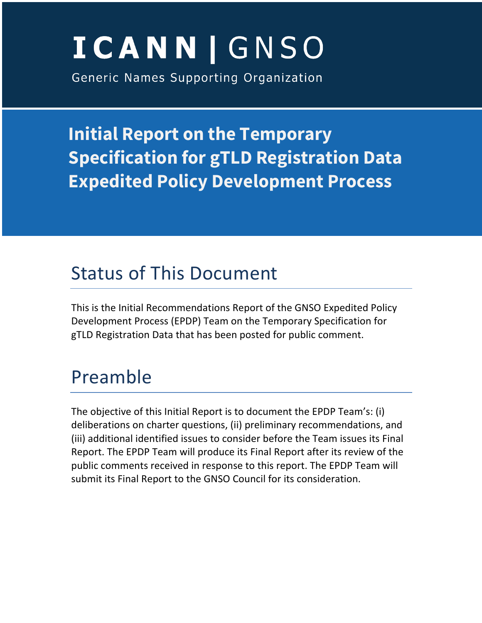# **ICANN | GNSO**

Generic Names Supporting Organization

**Initial Report on the Temporary Specification for gTLD Registration Data Expedited Policy Development Process**

# Status of This Document

This is the Initial Recommendations Report of the GNSO Expedited Policy Development Process (EPDP) Team on the Temporary Specification for gTLD Registration Data that has been posted for public comment.

# Preamble

The objective of this Initial Report is to document the EPDP Team's: (i) deliberations on charter questions, (ii) preliminary recommendations, and (iii) additional identified issues to consider before the Team issues its Final Report. The EPDP Team will produce its Final Report after its review of the public comments received in response to this report. The EPDP Team will submit its Final Report to the GNSO Council for its consideration.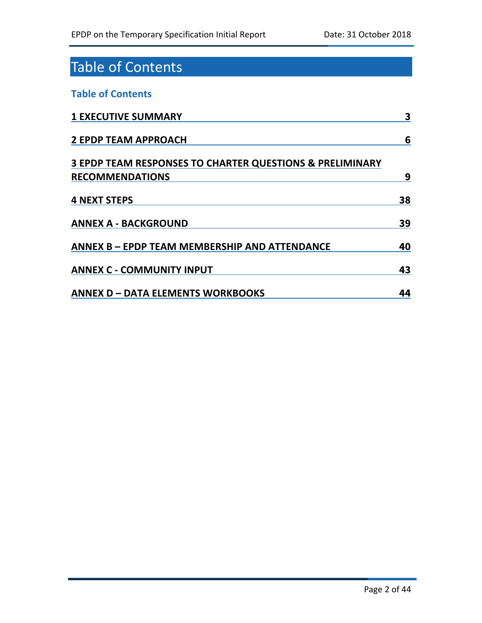# Table of Contents

### **Table of Contents**

| <b>1 EXECUTIVE SUMMARY</b>                                          | 3  |
|---------------------------------------------------------------------|----|
| <b>2 EPDP TEAM APPROACH</b>                                         | 6  |
| <b>3 EPDP TEAM RESPONSES TO CHARTER QUESTIONS &amp; PRELIMINARY</b> |    |
| <b>RECOMMENDATIONS</b>                                              | 9  |
| <b>4 NEXT STEPS</b>                                                 | 38 |
| <b>ANNEX A - BACKGROUND</b>                                         | 39 |
| ANNEX B - EPDP TEAM MEMBERSHIP AND ATTENDANCE                       | 40 |
| <b>ANNEX C - COMMUNITY INPUT</b>                                    | 43 |
| <b>ANNEX D - DATA ELEMENTS WORKBOOKS</b>                            | 44 |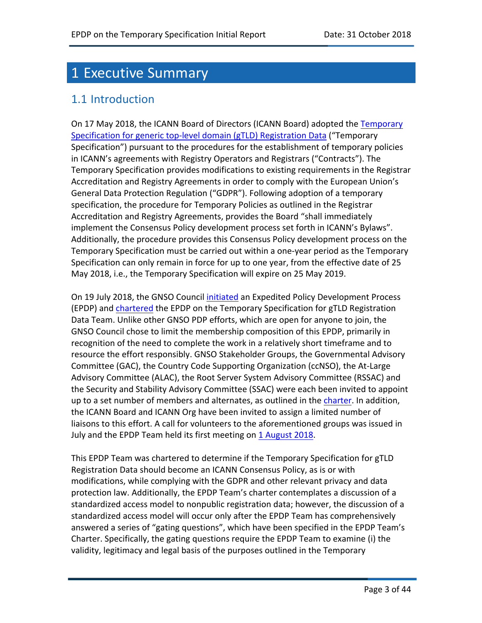# 1 Executive Summary

### 1.1 Introduction

On 17 May 2018, the ICANN Board of Directors (ICANN Board) adopted the Temporary Specification for generic top-level domain (gTLD) Registration Data ("Temporary Specification") pursuant to the procedures for the establishment of temporary policies in ICANN's agreements with Registry Operators and Registrars ("Contracts"). The Temporary Specification provides modifications to existing requirements in the Registrar Accreditation and Registry Agreements in order to comply with the European Union's General Data Protection Regulation ("GDPR"). Following adoption of a temporary specification, the procedure for Temporary Policies as outlined in the Registrar Accreditation and Registry Agreements, provides the Board "shall immediately implement the Consensus Policy development process set forth in ICANN's Bylaws". Additionally, the procedure provides this Consensus Policy development process on the Temporary Specification must be carried out within a one-year period as the Temporary Specification can only remain in force for up to one year, from the effective date of 25 May 2018, i.e., the Temporary Specification will expire on 25 May 2019.

On 19 July 2018, the GNSO Council initiated an Expedited Policy Development Process (EPDP) and chartered the EPDP on the Temporary Specification for gTLD Registration Data Team. Unlike other GNSO PDP efforts, which are open for anyone to join, the GNSO Council chose to limit the membership composition of this EPDP, primarily in recognition of the need to complete the work in a relatively short timeframe and to resource the effort responsibly. GNSO Stakeholder Groups, the Governmental Advisory Committee (GAC), the Country Code Supporting Organization (ccNSO), the At-Large Advisory Committee (ALAC), the Root Server System Advisory Committee (RSSAC) and the Security and Stability Advisory Committee (SSAC) were each been invited to appoint up to a set number of members and alternates, as outlined in the charter. In addition, the ICANN Board and ICANN Org have been invited to assign a limited number of liaisons to this effort. A call for volunteers to the aforementioned groups was issued in July and the EPDP Team held its first meeting on 1 August 2018.

This EPDP Team was chartered to determine if the Temporary Specification for gTLD Registration Data should become an ICANN Consensus Policy, as is or with modifications, while complying with the GDPR and other relevant privacy and data protection law. Additionally, the EPDP Team's charter contemplates a discussion of a standardized access model to nonpublic registration data; however, the discussion of a standardized access model will occur only after the EPDP Team has comprehensively answered a series of "gating questions", which have been specified in the EPDP Team's Charter. Specifically, the gating questions require the EPDP Team to examine (i) the validity, legitimacy and legal basis of the purposes outlined in the Temporary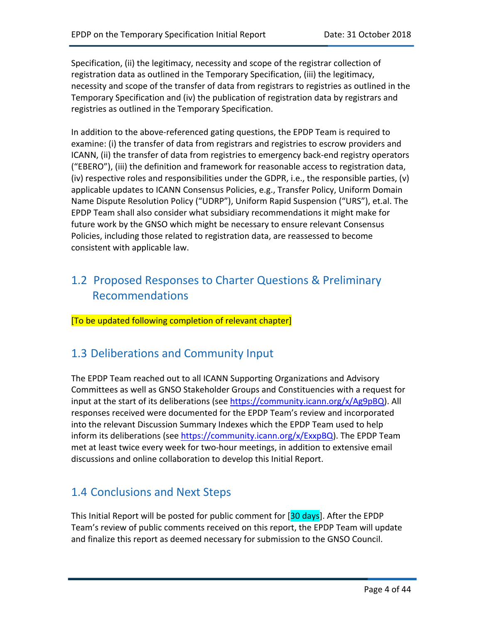Specification, (ii) the legitimacy, necessity and scope of the registrar collection of registration data as outlined in the Temporary Specification, (iii) the legitimacy, necessity and scope of the transfer of data from registrars to registries as outlined in the Temporary Specification and (iv) the publication of registration data by registrars and registries as outlined in the Temporary Specification.

In addition to the above-referenced gating questions, the EPDP Team is required to examine: (i) the transfer of data from registrars and registries to escrow providers and ICANN, (ii) the transfer of data from registries to emergency back-end registry operators ("EBERO"), (iii) the definition and framework for reasonable access to registration data, (iv) respective roles and responsibilities under the GDPR, i.e., the responsible parties, (v) applicable updates to ICANN Consensus Policies, e.g., Transfer Policy, Uniform Domain Name Dispute Resolution Policy ("UDRP"), Uniform Rapid Suspension ("URS"), et.al. The EPDP Team shall also consider what subsidiary recommendations it might make for future work by the GNSO which might be necessary to ensure relevant Consensus Policies, including those related to registration data, are reassessed to become consistent with applicable law.

# 1.2 Proposed Responses to Charter Questions & Preliminary Recommendations

[To be updated following completion of relevant chapter]

# 1.3 Deliberations and Community Input

The EPDP Team reached out to all ICANN Supporting Organizations and Advisory Committees as well as GNSO Stakeholder Groups and Constituencies with a request for input at the start of its deliberations (see https://community.icann.org/x/Ag9pBQ). All responses received were documented for the EPDP Team's review and incorporated into the relevant Discussion Summary Indexes which the EPDP Team used to help inform its deliberations (see https://community.icann.org/x/ExxpBQ). The EPDP Team met at least twice every week for two-hour meetings, in addition to extensive email discussions and online collaboration to develop this Initial Report.

# 1.4 Conclusions and Next Steps

This Initial Report will be posted for public comment for [30 days]. After the EPDP Team's review of public comments received on this report, the EPDP Team will update and finalize this report as deemed necessary for submission to the GNSO Council.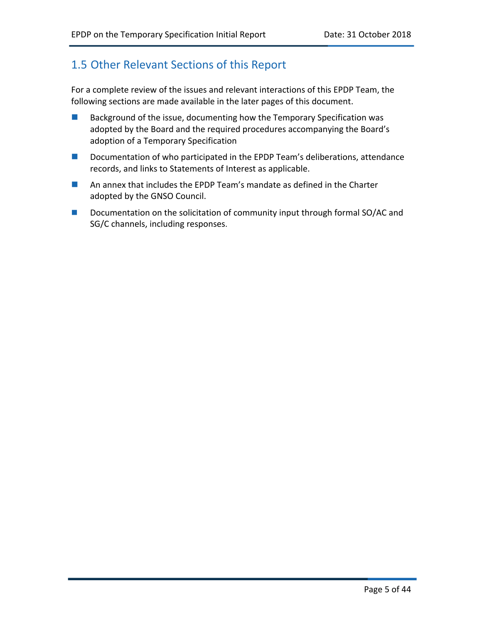# 1.5 Other Relevant Sections of this Report

For a complete review of the issues and relevant interactions of this EPDP Team, the following sections are made available in the later pages of this document.

- $\blacksquare$  Background of the issue, documenting how the Temporary Specification was adopted by the Board and the required procedures accompanying the Board's adoption of a Temporary Specification
- $\blacksquare$  Documentation of who participated in the EPDP Team's deliberations, attendance records, and links to Statements of Interest as applicable.
- $\blacksquare$  An annex that includes the EPDP Team's mandate as defined in the Charter adopted by the GNSO Council.
- Documentation on the solicitation of community input through formal SO/AC and SG/C channels, including responses.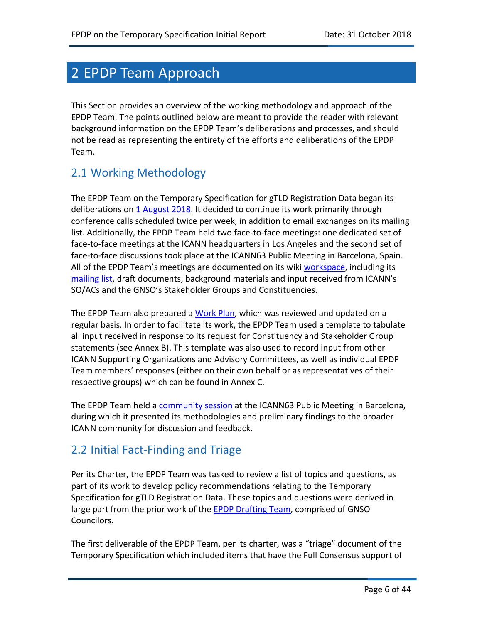# 2 EPDP Team Approach

This Section provides an overview of the working methodology and approach of the EPDP Team. The points outlined below are meant to provide the reader with relevant background information on the EPDP Team's deliberations and processes, and should not be read as representing the entirety of the efforts and deliberations of the EPDP Team.

# 2.1 Working Methodology

The EPDP Team on the Temporary Specification for gTLD Registration Data began its deliberations on 1 August 2018. It decided to continue its work primarily through conference calls scheduled twice per week, in addition to email exchanges on its mailing list. Additionally, the EPDP Team held two face-to-face meetings: one dedicated set of face-to-face meetings at the ICANN headquarters in Los Angeles and the second set of face-to-face discussions took place at the ICANN63 Public Meeting in Barcelona, Spain. All of the EPDP Team's meetings are documented on its wiki workspace, including its mailing list, draft documents, background materials and input received from ICANN's SO/ACs and the GNSO's Stakeholder Groups and Constituencies.

The EPDP Team also prepared a Work Plan, which was reviewed and updated on a regular basis. In order to facilitate its work, the EPDP Team used a template to tabulate all input received in response to its request for Constituency and Stakeholder Group statements (see Annex B). This template was also used to record input from other ICANN Supporting Organizations and Advisory Committees, as well as individual EPDP Team members' responses (either on their own behalf or as representatives of their respective groups) which can be found in Annex C.

The EPDP Team held a community session at the ICANN63 Public Meeting in Barcelona, during which it presented its methodologies and preliminary findings to the broader ICANN community for discussion and feedback.

# 2.2 Initial Fact-Finding and Triage

Per its Charter, the EPDP Team was tasked to review a list of topics and questions, as part of its work to develop policy recommendations relating to the Temporary Specification for gTLD Registration Data. These topics and questions were derived in large part from the prior work of the EPDP Drafting Team, comprised of GNSO Councilors.

The first deliverable of the EPDP Team, per its charter, was a "triage" document of the Temporary Specification which included items that have the Full Consensus support of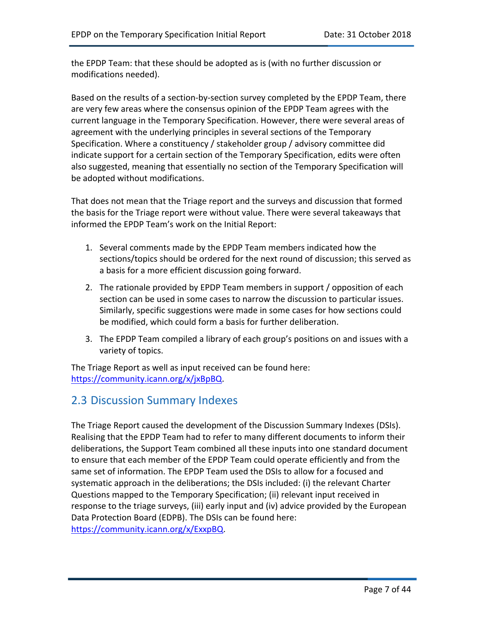the EPDP Team: that these should be adopted as is (with no further discussion or modifications needed).

Based on the results of a section-by-section survey completed by the EPDP Team, there are very few areas where the consensus opinion of the EPDP Team agrees with the current language in the Temporary Specification. However, there were several areas of agreement with the underlying principles in several sections of the Temporary Specification. Where a constituency / stakeholder group / advisory committee did indicate support for a certain section of the Temporary Specification, edits were often also suggested, meaning that essentially no section of the Temporary Specification will be adopted without modifications.

That does not mean that the Triage report and the surveys and discussion that formed the basis for the Triage report were without value. There were several takeaways that informed the EPDP Team's work on the Initial Report:

- 1. Several comments made by the EPDP Team members indicated how the sections/topics should be ordered for the next round of discussion; this served as a basis for a more efficient discussion going forward.
- 2. The rationale provided by EPDP Team members in support / opposition of each section can be used in some cases to narrow the discussion to particular issues. Similarly, specific suggestions were made in some cases for how sections could be modified, which could form a basis for further deliberation.
- 3. The EPDP Team compiled a library of each group's positions on and issues with a variety of topics.

The Triage Report as well as input received can be found here: https://community.icann.org/x/jxBpBQ.

### 2.3 Discussion Summary Indexes

The Triage Report caused the development of the Discussion Summary Indexes (DSIs). Realising that the EPDP Team had to refer to many different documents to inform their deliberations, the Support Team combined all these inputs into one standard document to ensure that each member of the EPDP Team could operate efficiently and from the same set of information. The EPDP Team used the DSIs to allow for a focused and systematic approach in the deliberations; the DSIs included: (i) the relevant Charter Questions mapped to the Temporary Specification; (ii) relevant input received in response to the triage surveys, (iii) early input and (iv) advice provided by the European Data Protection Board (EDPB). The DSIs can be found here: https://community.icann.org/x/ExxpBQ.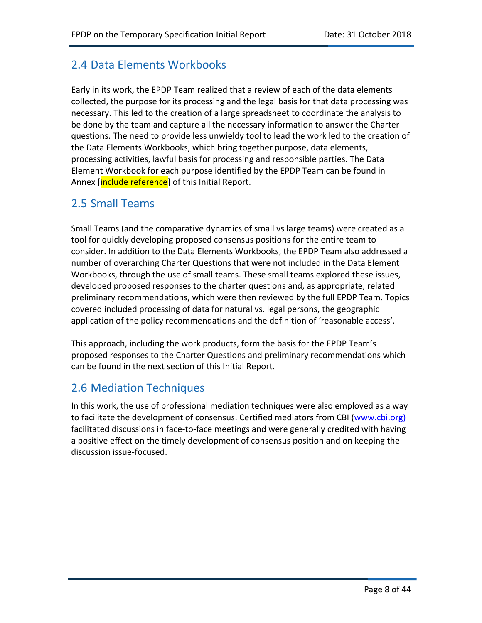# 2.4 Data Elements Workbooks

Early in its work, the EPDP Team realized that a review of each of the data elements collected, the purpose for its processing and the legal basis for that data processing was necessary. This led to the creation of a large spreadsheet to coordinate the analysis to be done by the team and capture all the necessary information to answer the Charter questions. The need to provide less unwieldy tool to lead the work led to the creation of the Data Elements Workbooks, which bring together purpose, data elements, processing activities, lawful basis for processing and responsible parties. The Data Element Workbook for each purpose identified by the EPDP Team can be found in Annex *[include reference]* of this Initial Report.

# 2.5 Small Teams

Small Teams (and the comparative dynamics of small vs large teams) were created as a tool for quickly developing proposed consensus positions for the entire team to consider. In addition to the Data Elements Workbooks, the EPDP Team also addressed a number of overarching Charter Questions that were not included in the Data Element Workbooks, through the use of small teams. These small teams explored these issues, developed proposed responses to the charter questions and, as appropriate, related preliminary recommendations, which were then reviewed by the full EPDP Team. Topics covered included processing of data for natural vs. legal persons, the geographic application of the policy recommendations and the definition of 'reasonable access'.

This approach, including the work products, form the basis for the EPDP Team's proposed responses to the Charter Questions and preliminary recommendations which can be found in the next section of this Initial Report.

# 2.6 Mediation Techniques

In this work, the use of professional mediation techniques were also employed as a way to facilitate the development of consensus. Certified mediators from CBI (www.cbi.org) facilitated discussions in face-to-face meetings and were generally credited with having a positive effect on the timely development of consensus position and on keeping the discussion issue-focused.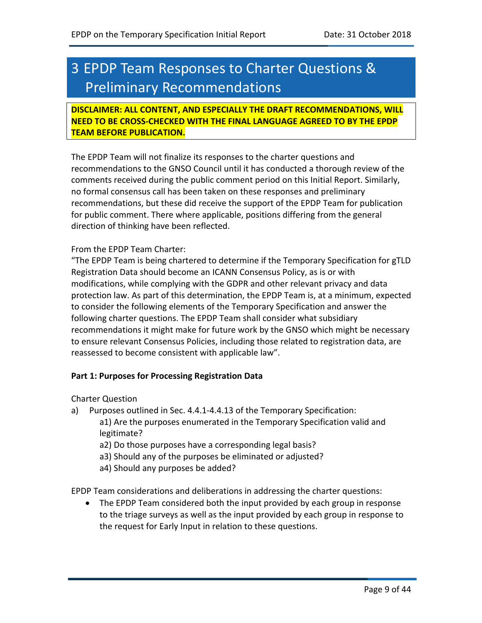# 3 EPDP Team Responses to Charter Questions & Preliminary Recommendations

**DISCLAIMER: ALL CONTENT, AND ESPECIALLY THE DRAFT RECOMMENDATIONS, WILL NEED TO BE CROSS-CHECKED WITH THE FINAL LANGUAGE AGREED TO BY THE EPDP TEAM BEFORE PUBLICATION.**

The EPDP Team will not finalize its responses to the charter questions and recommendations to the GNSO Council until it has conducted a thorough review of the comments received during the public comment period on this Initial Report. Similarly, no formal consensus call has been taken on these responses and preliminary recommendations, but these did receive the support of the EPDP Team for publication for public comment. There where applicable, positions differing from the general direction of thinking have been reflected.

#### From the EPDP Team Charter:

"The EPDP Team is being chartered to determine if the Temporary Specification for gTLD Registration Data should become an ICANN Consensus Policy, as is or with modifications, while complying with the GDPR and other relevant privacy and data protection law. As part of this determination, the EPDP Team is, at a minimum, expected to consider the following elements of the Temporary Specification and answer the following charter questions. The EPDP Team shall consider what subsidiary recommendations it might make for future work by the GNSO which might be necessary to ensure relevant Consensus Policies, including those related to registration data, are reassessed to become consistent with applicable law".

#### **Part 1: Purposes for Processing Registration Data**

Charter Question

- a) Purposes outlined in Sec. 4.4.1-4.4.13 of the Temporary Specification: a1) Are the purposes enumerated in the Temporary Specification valid and legitimate?
	- a2) Do those purposes have a corresponding legal basis?
	- a3) Should any of the purposes be eliminated or adjusted?
	- a4) Should any purposes be added?

EPDP Team considerations and deliberations in addressing the charter questions:

• The EPDP Team considered both the input provided by each group in response to the triage surveys as well as the input provided by each group in response to the request for Early Input in relation to these questions.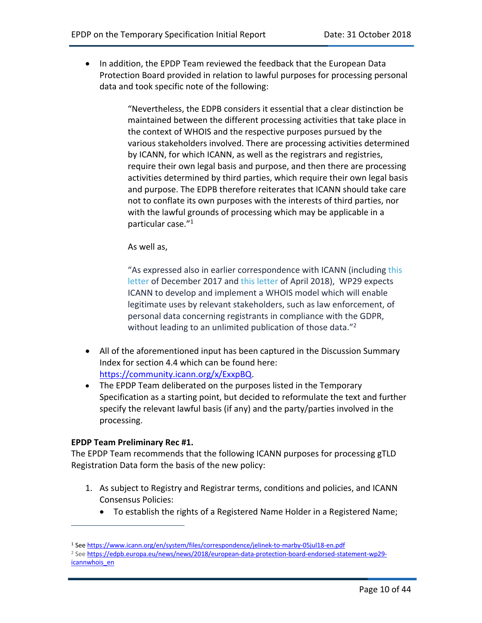• In addition, the EPDP Team reviewed the feedback that the European Data Protection Board provided in relation to lawful purposes for processing personal data and took specific note of the following:

> "Nevertheless, the EDPB considers it essential that a clear distinction be maintained between the different processing activities that take place in the context of WHOIS and the respective purposes pursued by the various stakeholders involved. There are processing activities determined by ICANN, for which ICANN, as well as the registrars and registries, require their own legal basis and purpose, and then there are processing activities determined by third parties, which require their own legal basis and purpose. The EDPB therefore reiterates that ICANN should take care not to conflate its own purposes with the interests of third parties, nor with the lawful grounds of processing which may be applicable in a particular case."1

As well as,

"As expressed also in earlier correspondence with ICANN (including this letter of December 2017 and this letter of April 2018), WP29 expects ICANN to develop and implement a WHOIS model which will enable legitimate uses by relevant stakeholders, such as law enforcement, of personal data concerning registrants in compliance with the GDPR, without leading to an unlimited publication of those data."<sup>2</sup>

- All of the aforementioned input has been captured in the Discussion Summary Index for section 4.4 which can be found here: https://community.icann.org/x/ExxpBQ.
- The EPDP Team deliberated on the purposes listed in the Temporary Specification as a starting point, but decided to reformulate the text and further specify the relevant lawful basis (if any) and the party/parties involved in the processing.

#### **EPDP Team Preliminary Rec #1.**

 $\overline{a}$ 

The EPDP Team recommends that the following ICANN purposes for processing gTLD Registration Data form the basis of the new policy:

- 1. As subject to Registry and Registrar terms, conditions and policies, and ICANN Consensus Policies:
	- To establish the rights of a Registered Name Holder in a Registered Name;

<sup>1</sup> See https://www.icann.org/en/system/files/correspondence/jelinek-to-marby-05jul18-en.pdf

<sup>&</sup>lt;sup>2</sup> See https://edpb.europa.eu/news/news/2018/european-data-protection-board-endorsed-statement-wp29icannwhois\_en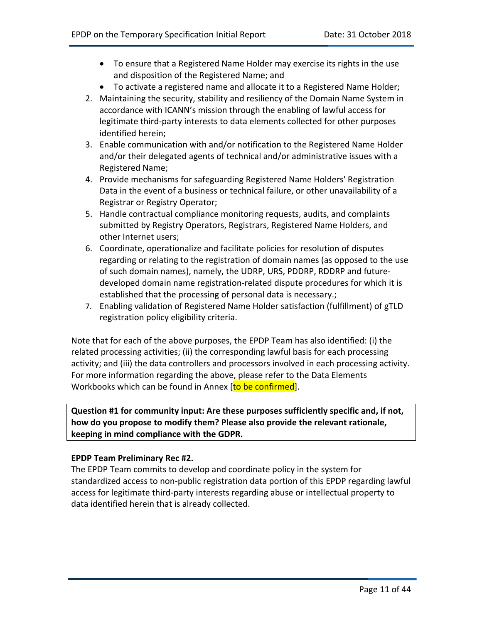- To ensure that a Registered Name Holder may exercise its rights in the use and disposition of the Registered Name; and
- To activate a registered name and allocate it to a Registered Name Holder;
- 2. Maintaining the security, stability and resiliency of the Domain Name System in accordance with ICANN's mission through the enabling of lawful access for legitimate third-party interests to data elements collected for other purposes identified herein;
- 3. Enable communication with and/or notification to the Registered Name Holder and/or their delegated agents of technical and/or administrative issues with a Registered Name;
- 4. Provide mechanisms for safeguarding Registered Name Holders' Registration Data in the event of a business or technical failure, or other unavailability of a Registrar or Registry Operator;
- 5. Handle contractual compliance monitoring requests, audits, and complaints submitted by Registry Operators, Registrars, Registered Name Holders, and other Internet users;
- 6. Coordinate, operationalize and facilitate policies for resolution of disputes regarding or relating to the registration of domain names (as opposed to the use of such domain names), namely, the UDRP, URS, PDDRP, RDDRP and futuredeveloped domain name registration-related dispute procedures for which it is established that the processing of personal data is necessary.;
- 7. Enabling validation of Registered Name Holder satisfaction (fulfillment) of gTLD registration policy eligibility criteria.

Note that for each of the above purposes, the EPDP Team has also identified: (i) the related processing activities; (ii) the corresponding lawful basis for each processing activity; and (iii) the data controllers and processors involved in each processing activity. For more information regarding the above, please refer to the Data Elements Workbooks which can be found in Annex [to be confirmed].

**Question #1 for community input: Are these purposes sufficiently specific and, if not, how do you propose to modify them? Please also provide the relevant rationale, keeping in mind compliance with the GDPR.**

#### **EPDP Team Preliminary Rec #2.**

The EPDP Team commits to develop and coordinate policy in the system for standardized access to non-public registration data portion of this EPDP regarding lawful access for legitimate third-party interests regarding abuse or intellectual property to data identified herein that is already collected.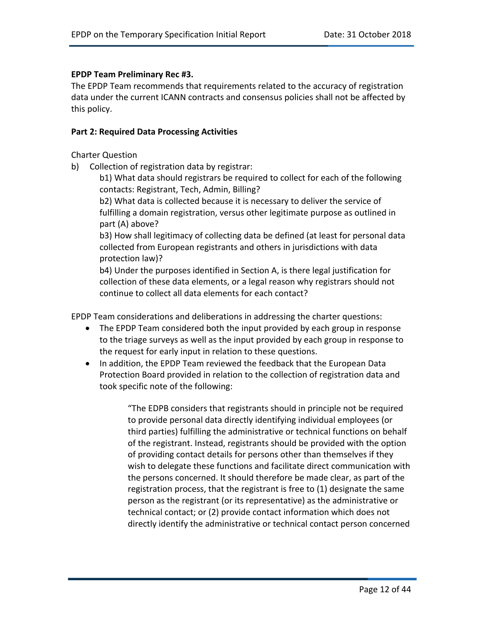#### **EPDP Team Preliminary Rec #3.**

The EPDP Team recommends that requirements related to the accuracy of registration data under the current ICANN contracts and consensus policies shall not be affected by this policy.

#### **Part 2: Required Data Processing Activities**

Charter Question

b) Collection of registration data by registrar:

b1) What data should registrars be required to collect for each of the following contacts: Registrant, Tech, Admin, Billing?

b2) What data is collected because it is necessary to deliver the service of fulfilling a domain registration, versus other legitimate purpose as outlined in part (A) above?

b3) How shall legitimacy of collecting data be defined (at least for personal data collected from European registrants and others in jurisdictions with data protection law)?

b4) Under the purposes identified in Section A, is there legal justification for collection of these data elements, or a legal reason why registrars should not continue to collect all data elements for each contact?

EPDP Team considerations and deliberations in addressing the charter questions:

- The EPDP Team considered both the input provided by each group in response to the triage surveys as well as the input provided by each group in response to the request for early input in relation to these questions.
- In addition, the EPDP Team reviewed the feedback that the European Data Protection Board provided in relation to the collection of registration data and took specific note of the following:

"The EDPB considers that registrants should in principle not be required to provide personal data directly identifying individual employees (or third parties) fulfilling the administrative or technical functions on behalf of the registrant. Instead, registrants should be provided with the option of providing contact details for persons other than themselves if they wish to delegate these functions and facilitate direct communication with the persons concerned. It should therefore be made clear, as part of the registration process, that the registrant is free to (1) designate the same person as the registrant (or its representative) as the administrative or technical contact; or (2) provide contact information which does not directly identify the administrative or technical contact person concerned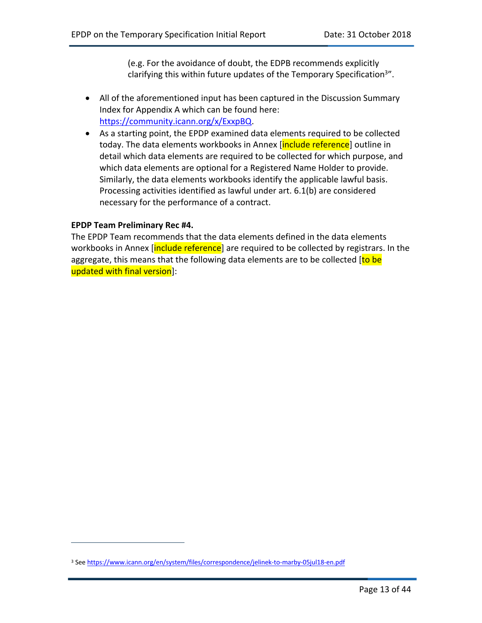(e.g. For the avoidance of doubt, the EDPB recommends explicitly clarifying this within future updates of the Temporary Specification<sup>3"</sup>.

- All of the aforementioned input has been captured in the Discussion Summary Index for Appendix A which can be found here: https://community.icann.org/x/ExxpBQ.
- As a starting point, the EPDP examined data elements required to be collected today. The data elements workbooks in Annex [include reference] outline in detail which data elements are required to be collected for which purpose, and which data elements are optional for a Registered Name Holder to provide. Similarly, the data elements workbooks identify the applicable lawful basis. Processing activities identified as lawful under art. 6.1(b) are considered necessary for the performance of a contract.

#### **EPDP Team Preliminary Rec #4.**

 $\overline{a}$ 

The EPDP Team recommends that the data elements defined in the data elements workbooks in Annex *[include reference*] are required to be collected by registrars. In the aggregate, this means that the following data elements are to be collected [to be updated with final version]:

<sup>&</sup>lt;sup>3</sup> See https://www.icann.org/en/system/files/correspondence/jelinek-to-marby-05jul18-en.pdf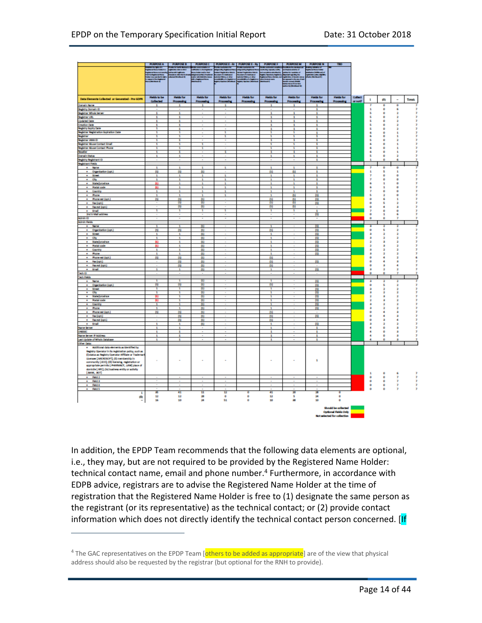|                                                                                                    | <b>PURPOSE A</b>        |                                 | PURPOSE B PURPOSEC PURPOSEE-R/ PURPOSEE-Ry |                          |                                            | <b>PURPOSE F</b>         |                                                                                             | PURPOSE M PURPOSE N                              | m                                  |         |                         |              |              |                          |
|----------------------------------------------------------------------------------------------------|-------------------------|---------------------------------|--------------------------------------------|--------------------------|--------------------------------------------|--------------------------|---------------------------------------------------------------------------------------------|--------------------------------------------------|------------------------------------|---------|-------------------------|--------------|--------------|--------------------------|
|                                                                                                    | a bargasat s            | an le telu Ane<br>Militêr de la | ta Kabupaten                               | ببديت                    | ang tagtawa tu                             |                          |                                                                                             | editor al del conte<br>Aplica el financial       |                                    |         |                         |              |              |                          |
|                                                                                                    |                         |                                 | <b>CARLES</b>                              |                          | etganisation<br>Stationer<br>Militäringare |                          |                                                                                             |                                                  |                                    |         |                         |              |              |                          |
|                                                                                                    |                         |                                 |                                            |                          |                                            |                          | m                                                                                           |                                                  |                                    |         |                         |              |              |                          |
|                                                                                                    |                         |                                 |                                            |                          |                                            |                          | e de maior<br>1970 - Benedictor<br>1970 - Benedictor de Maria<br>1970 - Benedictor de Maria |                                                  |                                    |         |                         |              |              |                          |
|                                                                                                    |                         |                                 |                                            |                          |                                            |                          |                                                                                             |                                                  |                                    |         |                         |              |              |                          |
|                                                                                                    |                         |                                 |                                            |                          |                                            |                          |                                                                                             |                                                  |                                    |         |                         |              |              |                          |
|                                                                                                    |                         |                                 |                                            |                          |                                            |                          |                                                                                             |                                                  |                                    |         |                         |              |              |                          |
| Data Elements Collected or Generated - Pre GDPR                                                    | <b>Heids to be</b>      | <b>Reids for</b>                | <b>Fields for</b>                          | <b>Fields for</b>        | <b>Fields for</b>                          | <b>Fields for</b>        | <b>Fields for</b>                                                                           | <b>Fleide for</b>                                | <b>Fields for</b>                  | Collect | ı                       | (1)          | ۰            | Total                    |
|                                                                                                    | <b>Collected</b>        | Processing                      | Processing                                 | <b>Processing</b>        | Processing                                 | Processing               | Processing                                                                                  | <b>Processing</b>                                | <b>Processing</b>                  | 0.000   |                         |              |              |                          |
| <b>Danain Name</b>                                                                                 | $\overline{\mathbf{1}}$ | ÷                               | ÷                                          | $\mathbf{1}$             |                                            | $\overline{\mathbf{1}}$  | ÷                                                                                           | ÷                                                |                                    |         | Ŧ                       | ø            | Ď            |                          |
| Registry Domain ID<br>Registrar Whois Server<br>Registrar URL                                      | ٠                       | $\blacksquare$                  | $\overline{\phantom{a}}$                   | $\sim$                   |                                            | $\blacksquare$           | ٠                                                                                           | ı                                                |                                    |         | $\mathbf{1}$            | Ď            | ś            | $\overline{ }$           |
|                                                                                                    | Ŧ                       | ×                               |                                            |                          |                                            | Ŧ                        | Ŧ                                                                                           | ٠                                                |                                    |         | s                       | ø            | ÷            | n,                       |
|                                                                                                    | $\overline{\mathbf{1}}$ | ٠                               | ÷                                          |                          |                                            | $\overline{\mathbf{1}}$  | ÷                                                                                           | ٠                                                |                                    |         | s                       | Đ            | ż            | $\overline{ }$           |
| <b>Updated Date</b>                                                                                | 1                       | ı                               | ×                                          | ÷                        |                                            | 1                        | ı                                                                                           | ı                                                |                                    |         |                         | Ď            | ż            |                          |
| Creation Date<br>Registry Rupiny Date<br>Registrar Registration Rupination Date<br>Registrar       | $\mathbf{1}$<br>ı       | ٠                               |                                            |                          |                                            | $\mathbf{1}$             | ٠                                                                                           | ٠                                                |                                    |         |                         | ø            | ×            |                          |
|                                                                                                    | ı                       | ٠<br>٠                          | ٠                                          | Ŧ                        |                                            | $\mathbf{1}$<br>٠        | 1<br>٠                                                                                      | ÷                                                |                                    |         |                         | Ď            | ż            |                          |
|                                                                                                    | ٠                       | ٠                               |                                            | Ŧ                        |                                            | Ŧ                        | Ŧ                                                                                           | ı<br>ī                                           |                                    |         |                         | Ď<br>Ď       | 1<br>1       |                          |
|                                                                                                    | ı                       | т                               | ٠                                          | ٠                        |                                            | т                        | Ŧ                                                                                           | т                                                |                                    |         |                         | Ď            | ÷            |                          |
| Registrar WAA 13<br>Registrar Khuse Contact Break<br>Registrar Khuse Contact Phone                 | ı                       | ٠                               | ٠                                          |                          |                                            | Ŧ                        | ٠                                                                                           | ٠                                                |                                    |         |                         | ø            | 1            |                          |
|                                                                                                    | ı                       | Ŧ                               | т                                          |                          |                                            | Ŧ                        | Ŧ                                                                                           | Ŧ                                                |                                    |         |                         | Ď            | 1            |                          |
| <b>Resolve</b>                                                                                     | 1                       | т                               | ٠                                          | ٠                        |                                            | 1                        | т                                                                                           | ٠                                                |                                    |         | ń.                      | Ď            | $\mathbf{1}$ | y.                       |
| <b>Donald Status</b>                                                                               | ×.                      | п.                              |                                            |                          |                                            | п.                       | ٠                                                                                           | ٠                                                |                                    |         | s                       | ø            | ÷            | $\mathbf{r}$             |
| Registry Registrant ID                                                                             |                         | ٠                               | ÷                                          | ٠                        |                                            | ٠                        | ٠                                                                                           | ٠                                                |                                    |         |                         | Ď            | 6            | y.                       |
| <b>Registrant Fields</b>                                                                           |                         |                                 |                                            |                          |                                            |                          |                                                                                             |                                                  |                                    |         |                         |              |              |                          |
| <b>A North</b>                                                                                     | ٠                       | ٠                               | ٠                                          | $\mathbf{r}$             |                                            | п.                       | ٠                                                                                           | ٠                                                |                                    |         | э                       | Đ            | ó            |                          |
| + Organization (opt.)                                                                              | 围                       | $\omega$                        | $\omega$                                   |                          |                                            | 问                        | ø                                                                                           | ÷                                                |                                    |         | 1                       | s            | 1            | Ŷ.                       |
| Street.<br>٠                                                                                       | Ŧ                       | ×                               | Ŧ                                          | Ŧ                        |                                            | ٠                        | ÷                                                                                           | ٤                                                |                                    |         | Þ                       | Ď            | Ď            | Ŷ.                       |
| Chy<br>٠                                                                                           | Ŧ                       | ÷                               | Ŧ                                          | Ŧ                        |                                            | Ŧ                        | ÷                                                                                           | ı                                                |                                    |         | ×                       | Ď            | Ů            | <b>x</b>                 |
| · State/province                                                                                   | 円                       | 4                               | ×                                          | $\mathbf{1}$             |                                            | 4                        | ٠                                                                                           | ÷                                                |                                    |         | ×.                      | $\mathbf{1}$ | Ù            | э                        |
| Postal code<br>٠                                                                                   | ÞI                      | ı                               | ٠                                          | 1                        |                                            | ٠                        | ٤                                                                                           | ٤                                                |                                    |         | ń.                      | 1            | Ď            |                          |
| ٠<br><b>Country</b>                                                                                | ٠                       | ٠                               | ٠                                          | ÷                        |                                            | Ŧ                        | Ŧ                                                                                           | ı                                                |                                    |         | т                       | o            | Ď            |                          |
| <b>e</b> Phone                                                                                     | $\mathbf{1}$            | ٠                               | ٠                                          | $\mathbf{1}$             |                                            | $\mathbf{a}$             | $\circ$                                                                                     | $ 1\rangle$                                      |                                    |         | s                       | ÷            | o            |                          |
| Phone est (opt.)                                                                                   | 围                       | œ                               | (4)                                        |                          |                                            | $\left  1 \right $       | (a)                                                                                         | $\left 1\right\rangle$                           |                                    |         | Ď                       | ś            | 1            |                          |
| · Factors)                                                                                         |                         | ω                               | Ø)                                         |                          |                                            | ω                        | Ø)                                                                                          | $ 1\rangle$                                      |                                    |         | o                       | s            | ż            |                          |
| + Faxest (opt.)                                                                                    |                         | ω                               | œ                                          |                          |                                            | ūГ                       | œ                                                                                           | $\sim$                                           |                                    |         | Ď                       | ٠            | ×            |                          |
| <b>Email</b>                                                                                       | ٠                       | т                               | ÷                                          | Ŧ                        |                                            | ÷                        | ÷                                                                                           | ٠                                                |                                    |         | ×                       | Ď            | Ď            |                          |
| 3rd E-Mail address                                                                                 |                         | τ                               | ÷                                          | ÷                        |                                            | τ                        | ÷                                                                                           | (B)                                              |                                    |         | Đ.                      | $\mathbf{1}$ | 6            | $\overline{\phantom{a}}$ |
| 'nЮ                                                                                                |                         |                                 | ٠                                          |                          |                                            |                          |                                                                                             |                                                  |                                    |         | o                       | Ď            | Ŧ            | Ŷ.                       |
| <b>Admin Fields</b>                                                                                |                         |                                 |                                            |                          |                                            |                          |                                                                                             |                                                  |                                    |         |                         |              |              |                          |
| <b>A. Netwo</b>                                                                                    | ٠                       | т                               | $\boldsymbol{\alpha}$                      |                          |                                            | Ŧ                        |                                                                                             | 围                                                |                                    |         | ъ                       |              |              |                          |
| Organization (opt.)                                                                                | 围                       | $\omega$                        | ω                                          |                          |                                            | 间                        |                                                                                             | $ 1\rangle$                                      |                                    |         | o                       | s            | ż            | 7                        |
| $+$ Street                                                                                         | ÷.                      | ×                               | άh                                         |                          |                                            | ı                        |                                                                                             | <b>H</b>                                         |                                    |         | A                       | ÷            | ÷            |                          |
| $+$ Chy                                                                                            | $\mathbf{r}$            | ×                               | (a)                                        |                          |                                            | $\overline{\phantom{a}}$ |                                                                                             | (1)                                              |                                    |         | ×                       | ÷            | ÷            |                          |
| State/province<br>٠                                                                                | 凹                       | ٠                               | ω                                          |                          |                                            | ٤                        |                                                                                             | $\left  \mathbf{1} \right $                      |                                    |         | ż                       | a            | ż            |                          |
| $+$ Retained                                                                                       | <b>p</b>                | ٠                               | œ                                          |                          |                                            | ı                        |                                                                                             | 围                                                |                                    |         | ÷                       |              | ż            |                          |
| · Country                                                                                          | $\mathbf{1}$            | п.                              | $\left( n\right)$                          |                          |                                            | $\mathbf{r}$             |                                                                                             | (1)                                              |                                    |         | ×                       | ÷            | ٠            |                          |
| ٠<br>Rone                                                                                          | ı                       | ı                               | ω                                          |                          |                                            | ٠                        |                                                                                             | $ 1\rangle$                                      |                                    |         | a                       |              | ż            |                          |
| . Rone est (opt.)                                                                                  | 围                       | $\omega$                        | (b)                                        |                          |                                            | $\alpha$                 |                                                                                             |                                                  |                                    |         | o                       |              | ż            |                          |
| · Fax (cost.)                                                                                      |                         | (1)                             | $\circ$                                    |                          |                                            | (1)                      | $\sim$                                                                                      | (1)                                              |                                    |         | Ď                       | ٠            | ٠            |                          |
| ٠<br>Fax est (opt.)                                                                                |                         | ω                               | œ                                          |                          |                                            | 国                        |                                                                                             |                                                  |                                    |         | o                       | a            | ۰            | $\overline{\phantom{a}}$ |
| · final                                                                                            | $\overline{\mathbf{1}}$ | ٠                               | œ                                          |                          |                                            | ı                        |                                                                                             | 围                                                |                                    |         | A                       | ž.           | ż            | 7                        |
| Tech ID                                                                                            | ٠                       | ٠                               | ×                                          | $\blacksquare$           |                                            | $\blacksquare$           | $\blacksquare$                                                                              | $\sim$                                           |                                    |         | Đ.                      | ø            |              |                          |
| Tech Fields                                                                                        | ٠                       | ÷                               |                                            |                          |                                            | ÷                        |                                                                                             |                                                  |                                    |         |                         |              |              |                          |
| <b>A New</b>                                                                                       |                         |                                 | G)                                         |                          |                                            |                          |                                                                                             | 围                                                |                                    |         | R                       |              |              |                          |
| · Organization (opt.)                                                                              | 围<br>ı                  | ω<br>Ŧ                          | ω<br>ōā                                    |                          |                                            | ω<br>Ŧ                   |                                                                                             | $ 11\rangle$                                     |                                    |         | Đ.                      | s            | ÷            | y                        |
| ÷<br>Street.<br>$+$ Chy                                                                            | Ŧ                       | ÷                               | œ                                          |                          |                                            | ÷                        |                                                                                             | $ 1\rangle$<br>$\left  \mathbf{1} \right\rangle$ |                                    |         | k<br>×                  | ž.<br>÷      | ż<br>÷       | $\mathbf{u}$<br>э        |
| State/province<br>÷                                                                                | Þ                       | т                               | ω                                          |                          |                                            | ı                        |                                                                                             | 围                                                |                                    |         | ×                       | ٠            | ż            |                          |
| · Retailcode                                                                                       | ы                       | Ŧ                               | ø.                                         |                          |                                            | Ŧ                        |                                                                                             | ш                                                |                                    |         | <sup>2</sup>            |              | ż            |                          |
|                                                                                                    | ٠                       | п                               | ω                                          |                          |                                            | т                        |                                                                                             |                                                  |                                    |         | ×                       |              | ÷            |                          |
| · Country<br>٠<br>Rone                                                                             | ı                       | ٠                               | œ                                          |                          |                                            | ı                        |                                                                                             | Щ<br>供                                           |                                    |         | ×                       |              | ż            |                          |
| + Rone est (opt.)                                                                                  | 11                      | ω                               | ø                                          |                          |                                            | $\mathfrak{a}$           |                                                                                             |                                                  |                                    |         |                         |              |              |                          |
| + Factors)                                                                                         | ٠                       | œ                               | œ                                          | $\sim$                   |                                            | (1)                      |                                                                                             | $ 1\rangle$                                      |                                    |         | o                       | ٠            | ٠            |                          |
| ٠<br>Faxest (opt.)                                                                                 |                         | $\boldsymbol{\omega}$           | (4)                                        |                          |                                            | $\alpha$                 |                                                                                             |                                                  |                                    |         | ø                       |              |              |                          |
| $+$ final                                                                                          | Ŧ                       | ı                               | œ                                          |                          |                                            | ÷                        |                                                                                             | (1)                                              |                                    |         |                         |              |              |                          |
| <b>Name Server</b>                                                                                 | ٠                       | ٠                               | ٠                                          |                          |                                            | ٠                        |                                                                                             | ٠                                                |                                    |         | ٠                       | o            | a            |                          |
| <b>DASSE</b>                                                                                       | ×                       | ٠                               |                                            |                          |                                            | $\mathbf{1}$             |                                                                                             | ٠                                                |                                    |         | ٠                       | o            | k            | ×                        |
| Name Server P Address                                                                              | ÷                       | ×                               |                                            |                          |                                            | 1                        |                                                                                             | ٠                                                |                                    |         | ٠                       | Ď            | k            | <b>y</b>                 |
| Last Update of Whois Database                                                                      | ٠                       | ×                               | $\sim$                                     | $\sim$                   |                                            | $\mathbf{1}$             | $\blacksquare$                                                                              | ٠                                                |                                    |         |                         |              |              |                          |
| <b>Other Data:</b>                                                                                 |                         |                                 |                                            |                          |                                            |                          |                                                                                             |                                                  |                                    |         |                         |              |              |                          |
| Additional data elements as identified by                                                          |                         |                                 |                                            |                          |                                            |                          |                                                                                             |                                                  |                                    |         |                         |              |              |                          |
| Registry Conseior in its registration policy, such as                                              |                         |                                 |                                            |                          |                                            |                          |                                                                                             |                                                  |                                    |         |                         |              |              |                          |
| () status as Registry Operator Affiliate or Trademark                                              |                         |                                 |                                            |                          |                                            |                          |                                                                                             |                                                  |                                    |         |                         |              |              |                          |
| Licensee [.MCROSOFF] (ii) membership in                                                            | ٠                       | $\overline{\phantom{a}}$        | ×,                                         | ٠                        |                                            | ٠                        | ×,                                                                                          | 1                                                |                                    |         |                         |              |              |                          |
| conversity [ RCD]: (ii) isoming, registration or<br>appropriate permits (.PHARMACT, .LAW) place of |                         |                                 |                                            |                          |                                            |                          |                                                                                             |                                                  |                                    |         |                         |              |              |                          |
|                                                                                                    |                         |                                 |                                            |                          |                                            |                          |                                                                                             |                                                  |                                    |         |                         |              |              |                          |
| domicle [.NYC]; (iv) business entity or activity<br>[BANK, BOT]                                    |                         |                                 |                                            |                          |                                            |                          |                                                                                             |                                                  |                                    |         | $\overline{\mathbf{1}}$ | o            |              | 7                        |
| $+$ Reid 2                                                                                         |                         |                                 | ٠                                          |                          |                                            |                          | ٠                                                                                           | ٠                                                |                                    |         | o                       | Ď            | 6<br>Ŧ       | v                        |
| $+$ Reid 8                                                                                         |                         | $\blacksquare$                  | $\overline{\phantom{a}}$                   | $\overline{\phantom{a}}$ |                                            | $\blacksquare$           | $\overline{\phantom{a}}$                                                                    | $\blacksquare$                                   |                                    |         | o                       | o            | $\mathbf{r}$ | 7                        |
| $+$ Reid 4                                                                                         |                         | ٠                               | ٠                                          | ÷                        |                                            | ٠                        | ٠                                                                                           | ٠                                                |                                    |         | ö                       | Ď            | Ŧ            |                          |
| Reid S<br>٠                                                                                        |                         |                                 |                                            |                          |                                            |                          |                                                                                             |                                                  |                                    |         | Ď                       | o            | Ŧ            | ı                        |
| т                                                                                                  | z                       | 41                              | n                                          | u                        | Ď                                          | 41                       | æ                                                                                           | и                                                | Ď                                  |         |                         |              |              |                          |
|                                                                                                    | 12                      | 12                              | 鐡                                          | û                        | Ď                                          | 12                       | s                                                                                           | м                                                | ó                                  |         |                         |              |              |                          |
| 粵                                                                                                  | 36                      | 10                              | $\mathbf{M}$                               | 55                       | ó                                          | 30                       | 冰                                                                                           | 10                                               | Đ.                                 |         |                         |              |              |                          |
|                                                                                                    |                         |                                 |                                            |                          |                                            |                          |                                                                                             |                                                  |                                    |         |                         |              |              |                          |
|                                                                                                    |                         |                                 |                                            |                          |                                            |                          |                                                                                             |                                                  | Should be collected                |         |                         |              |              |                          |
|                                                                                                    |                         |                                 |                                            |                          |                                            |                          |                                                                                             |                                                  | <b>Optional Fields Only</b>        |         |                         |              |              |                          |
|                                                                                                    |                         |                                 |                                            |                          |                                            |                          |                                                                                             |                                                  | <b>Not selected for collection</b> |         |                         |              |              |                          |

In addition, the EPDP Team recommends that the following data elements are optional, i.e., they may, but are not required to be provided by the Registered Name Holder: technical contact name, email and phone number.<sup>4</sup> Furthermore, in accordance with EDPB advice, registrars are to advise the Registered Name Holder at the time of registration that the Registered Name Holder is free to (1) designate the same person as the registrant (or its representative) as the technical contact; or (2) provide contact information which does not directly identify the technical contact person concerned. [If

 $\overline{a}$ 

<sup>&</sup>lt;sup>4</sup> The GAC representatives on the EPDP Team [others to be added as appropriate] are of the view that physical address should also be requested by the registrar (but optional for the RNH to provide).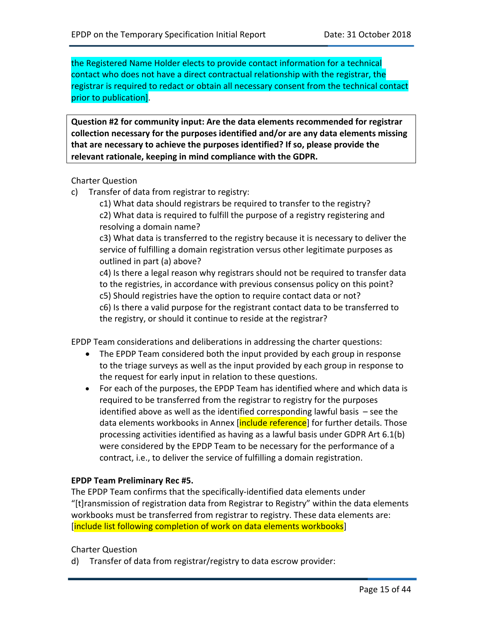the Registered Name Holder elects to provide contact information for a technical contact who does not have a direct contractual relationship with the registrar, the registrar is required to redact or obtain all necessary consent from the technical contact prior to publication].

**Question #2 for community input: Are the data elements recommended for registrar collection necessary for the purposes identified and/or are any data elements missing that are necessary to achieve the purposes identified? If so, please provide the relevant rationale, keeping in mind compliance with the GDPR.**

#### Charter Question

c) Transfer of data from registrar to registry:

c1) What data should registrars be required to transfer to the registry? c2) What data is required to fulfill the purpose of a registry registering and resolving a domain name?

c3) What data is transferred to the registry because it is necessary to deliver the service of fulfilling a domain registration versus other legitimate purposes as outlined in part (a) above?

c4) Is there a legal reason why registrars should not be required to transfer data to the registries, in accordance with previous consensus policy on this point? c5) Should registries have the option to require contact data or not? c6) Is there a valid purpose for the registrant contact data to be transferred to

the registry, or should it continue to reside at the registrar?

EPDP Team considerations and deliberations in addressing the charter questions:

- The EPDP Team considered both the input provided by each group in response to the triage surveys as well as the input provided by each group in response to the request for early input in relation to these questions.
- For each of the purposes, the EPDP Team has identified where and which data is required to be transferred from the registrar to registry for the purposes identified above as well as the identified corresponding lawful basis – see the data elements workbooks in Annex [include reference] for further details. Those processing activities identified as having as a lawful basis under GDPR Art 6.1(b) were considered by the EPDP Team to be necessary for the performance of a contract, i.e., to deliver the service of fulfilling a domain registration.

#### **EPDP Team Preliminary Rec #5.**

The EPDP Team confirms that the specifically-identified data elements under "[t]ransmission of registration data from Registrar to Registry" within the data elements workbooks must be transferred from registrar to registry. These data elements are: [include list following completion of work on data elements workbooks]

#### Charter Question

d) Transfer of data from registrar/registry to data escrow provider: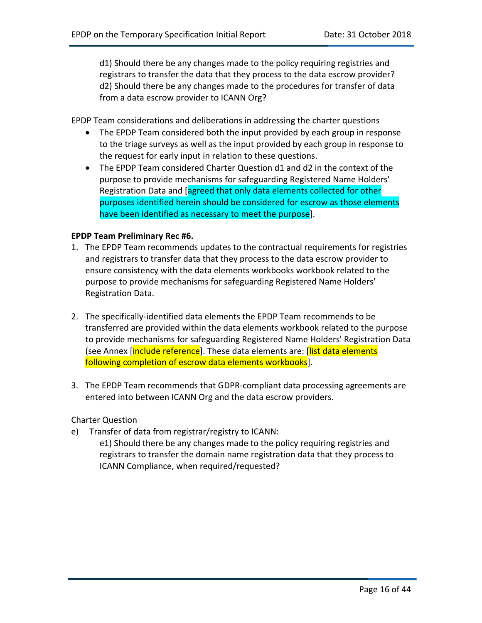d1) Should there be any changes made to the policy requiring registries and registrars to transfer the data that they process to the data escrow provider? d2) Should there be any changes made to the procedures for transfer of data from a data escrow provider to ICANN Org?

EPDP Team considerations and deliberations in addressing the charter questions

- The EPDP Team considered both the input provided by each group in response to the triage surveys as well as the input provided by each group in response to the request for early input in relation to these questions.
- The EPDP Team considered Charter Question d1 and d2 in the context of the purpose to provide mechanisms for safeguarding Registered Name Holders' Registration Data and [agreed that only data elements collected for other purposes identified herein should be considered for escrow as those elements have been identified as necessary to meet the purpose].

#### **EPDP Team Preliminary Rec #6.**

- 1. The EPDP Team recommends updates to the contractual requirements for registries and registrars to transfer data that they process to the data escrow provider to ensure consistency with the data elements workbooks workbook related to the purpose to provide mechanisms for safeguarding Registered Name Holders' Registration Data.
- 2. The specifically-identified data elements the EPDP Team recommends to be transferred are provided within the data elements workbook related to the purpose to provide mechanisms for safeguarding Registered Name Holders' Registration Data (see Annex [include reference]. These data elements are: [list data elements following completion of escrow data elements workbooks].
- 3. The EPDP Team recommends that GDPR-compliant data processing agreements are entered into between ICANN Org and the data escrow providers.

#### Charter Question

- e) Transfer of data from registrar/registry to ICANN:
	- e1) Should there be any changes made to the policy requiring registries and registrars to transfer the domain name registration data that they process to ICANN Compliance, when required/requested?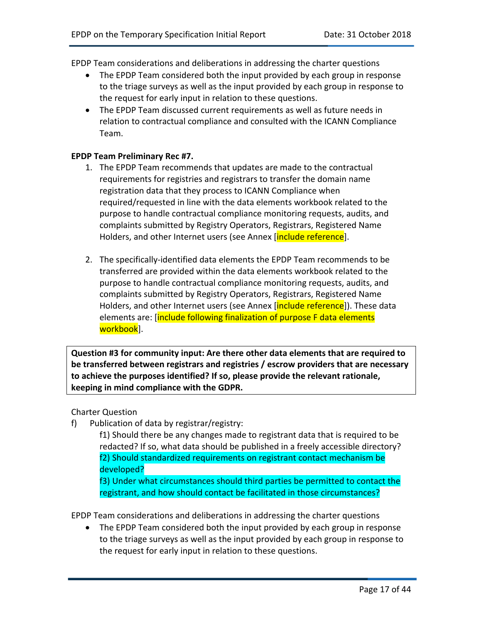EPDP Team considerations and deliberations in addressing the charter questions

- The EPDP Team considered both the input provided by each group in response to the triage surveys as well as the input provided by each group in response to the request for early input in relation to these questions.
- The EPDP Team discussed current requirements as well as future needs in relation to contractual compliance and consulted with the ICANN Compliance Team.

#### **EPDP Team Preliminary Rec #7.**

- 1. The EPDP Team recommends that updates are made to the contractual requirements for registries and registrars to transfer the domain name registration data that they process to ICANN Compliance when required/requested in line with the data elements workbook related to the purpose to handle contractual compliance monitoring requests, audits, and complaints submitted by Registry Operators, Registrars, Registered Name Holders, and other Internet users (see Annex [include reference].
- 2. The specifically-identified data elements the EPDP Team recommends to be transferred are provided within the data elements workbook related to the purpose to handle contractual compliance monitoring requests, audits, and complaints submitted by Registry Operators, Registrars, Registered Name Holders, and other Internet users (see Annex [include reference]). These data elements are: [include following finalization of purpose F data elements workbook].

**Question #3 for community input: Are there other data elements that are required to be transferred between registrars and registries / escrow providers that are necessary to achieve the purposes identified? If so, please provide the relevant rationale, keeping in mind compliance with the GDPR.**

#### Charter Question

f) Publication of data by registrar/registry:

f1) Should there be any changes made to registrant data that is required to be redacted? If so, what data should be published in a freely accessible directory? f2) Should standardized requirements on registrant contact mechanism be developed?

f3) Under what circumstances should third parties be permitted to contact the registrant, and how should contact be facilitated in those circumstances?

EPDP Team considerations and deliberations in addressing the charter questions

• The EPDP Team considered both the input provided by each group in response to the triage surveys as well as the input provided by each group in response to the request for early input in relation to these questions.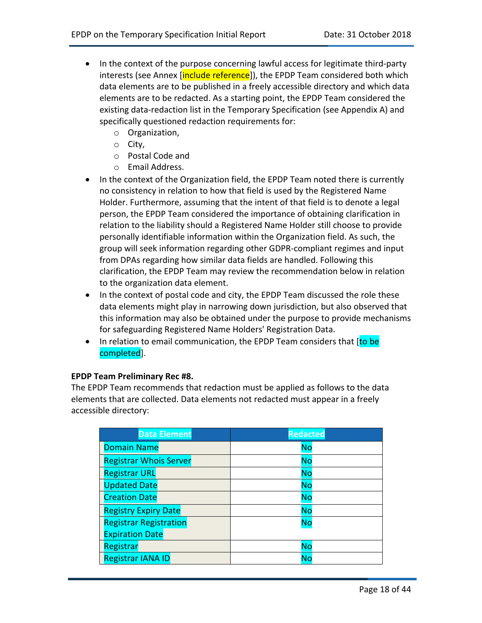- In the context of the purpose concerning lawful access for legitimate third-party interests (see Annex [include reference]), the EPDP Team considered both which data elements are to be published in a freely accessible directory and which data elements are to be redacted. As a starting point, the EPDP Team considered the existing data-redaction list in the Temporary Specification (see Appendix A) and specifically questioned redaction requirements for:
	- o Organization,
	- o City,
	- o Postal Code and
	- o Email Address.
- In the context of the Organization field, the EPDP Team noted there is currently no consistency in relation to how that field is used by the Registered Name Holder. Furthermore, assuming that the intent of that field is to denote a legal person, the EPDP Team considered the importance of obtaining clarification in relation to the liability should a Registered Name Holder still choose to provide personally identifiable information within the Organization field. As such, the group will seek information regarding other GDPR-compliant regimes and input from DPAs regarding how similar data fields are handled. Following this clarification, the EPDP Team may review the recommendation below in relation to the organization data element.
- In the context of postal code and city, the EPDP Team discussed the role these data elements might play in narrowing down jurisdiction, but also observed that this information may also be obtained under the purpose to provide mechanisms for safeguarding Registered Name Holders' Registration Data.
- In relation to email communication, the EPDP Team considers that [to be completed].

#### **EPDP Team Preliminary Rec #8.**

The EPDP Team recommends that redaction must be applied as follows to the data elements that are collected. Data elements not redacted must appear in a freely accessible directory:

| <b>Data Element</b>           | <b>Redacted</b> |
|-------------------------------|-----------------|
| <b>Domain Name</b>            | <b>No</b>       |
| <b>Registrar Whois Server</b> | <b>No</b>       |
| <b>Registrar URL</b>          | <b>No</b>       |
| <b>Updated Date</b>           | <b>No</b>       |
| <b>Creation Date</b>          | <b>No</b>       |
| <b>Registry Expiry Date</b>   | <b>No</b>       |
| <b>Registrar Registration</b> | <b>No</b>       |
| <b>Expiration Date</b>        |                 |
| <b>Registrar</b>              | <b>No</b>       |
| <b>Registrar IANA ID</b>      | No              |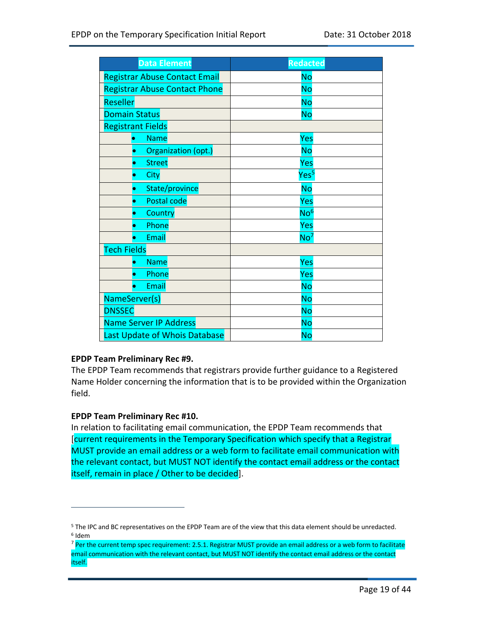| <b>Data Element</b>                  | <b>Redacted</b>  |
|--------------------------------------|------------------|
| <b>Registrar Abuse Contact Email</b> | <b>No</b>        |
| <b>Registrar Abuse Contact Phone</b> | <b>No</b>        |
| Reseller                             | <b>No</b>        |
| <b>Domain Status</b>                 | No               |
| <b>Registrant Fields</b>             |                  |
| <b>Name</b>                          | Yes              |
| Organization (opt.)                  | No               |
| <b>Street</b><br>0                   | Yes              |
| City                                 | Yes <sup>5</sup> |
| State/province                       | <b>No</b>        |
| Postal code                          | Yes              |
| Country<br>0                         | No <sup>6</sup>  |
| Phone                                | Yes              |
| Email                                | No <sup>7</sup>  |
| <b>Tech Fields</b>                   |                  |
| <b>Name</b>                          | Yes              |
| Phone                                | Yes              |
| Email<br>۰                           | <b>No</b>        |
| NameServer(s)                        | <b>No</b>        |
| <b>DNSSEC</b>                        | <b>No</b>        |
| <b>Name Server IP Address</b>        | <b>No</b>        |
| Last Update of Whois Database        | <b>No</b>        |

#### **EPDP Team Preliminary Rec #9.**

The EPDP Team recommends that registrars provide further guidance to a Registered Name Holder concerning the information that is to be provided within the Organization field.

#### **EPDP Team Preliminary Rec #10.**

 $\overline{a}$ 

In relation to facilitating email communication, the EPDP Team recommends that [current requirements in the Temporary Specification which specify that a Registrar MUST provide an email address or a web form to facilitate email communication with the relevant contact, but MUST NOT identify the contact email address or the contact itself, remain in place / Other to be decided].

<sup>5</sup> The IPC and BC representatives on the EPDP Team are of the view that this data element should be unredacted. <sup>6</sup> Idem

<sup>&</sup>lt;sup>7</sup> Per the current temp spec requirement: 2.5.1. Registrar MUST provide an email address or a web form to facilitate email communication with the relevant contact, but MUST NOT identify the contact email address or the contact itself.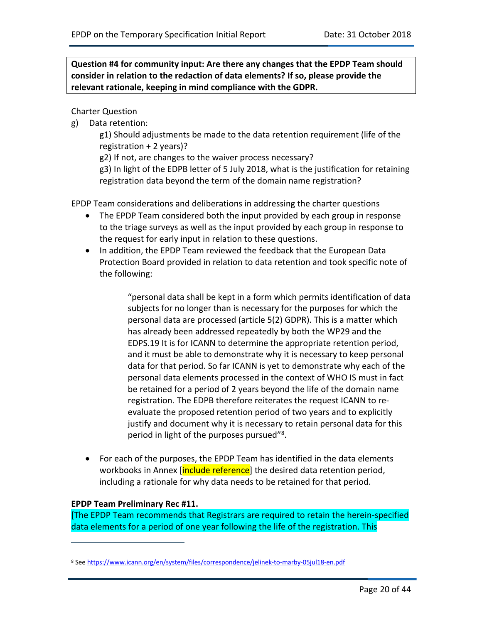**Question #4 for community input: Are there any changes that the EPDP Team should consider in relation to the redaction of data elements? If so, please provide the relevant rationale, keeping in mind compliance with the GDPR.** 

Charter Question

g) Data retention:

g1) Should adjustments be made to the data retention requirement (life of the registration + 2 years)?

g2) If not, are changes to the waiver process necessary?

g3) In light of the EDPB letter of 5 July 2018, what is the justification for retaining registration data beyond the term of the domain name registration?

EPDP Team considerations and deliberations in addressing the charter questions

- The EPDP Team considered both the input provided by each group in response to the triage surveys as well as the input provided by each group in response to the request for early input in relation to these questions.
- In addition, the EPDP Team reviewed the feedback that the European Data Protection Board provided in relation to data retention and took specific note of the following:

"personal data shall be kept in a form which permits identification of data subjects for no longer than is necessary for the purposes for which the personal data are processed (article 5(2) GDPR). This is a matter which has already been addressed repeatedly by both the WP29 and the EDPS.19 It is for ICANN to determine the appropriate retention period, and it must be able to demonstrate why it is necessary to keep personal data for that period. So far ICANN is yet to demonstrate why each of the personal data elements processed in the context of WHO IS must in fact be retained for a period of 2 years beyond the life of the domain name registration. The EDPB therefore reiterates the request ICANN to reevaluate the proposed retention period of two years and to explicitly justify and document why it is necessary to retain personal data for this period in light of the purposes pursued"<sup>8</sup>.

• For each of the purposes, the EPDP Team has identified in the data elements workbooks in Annex [include reference] the desired data retention period, including a rationale for why data needs to be retained for that period.

#### **EPDP Team Preliminary Rec #11.**

 $\overline{a}$ 

[The EPDP Team recommends that Registrars are required to retain the herein-specified data elements for a period of one year following the life of the registration. This

<sup>8</sup> See https://www.icann.org/en/system/files/correspondence/jelinek-to-marby-05jul18-en.pdf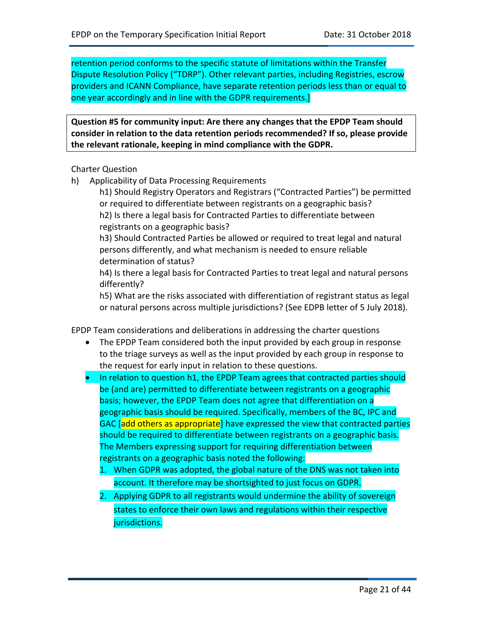retention period conforms to the specific statute of limitations within the Transfer Dispute Resolution Policy ("TDRP"). Other relevant parties, including Registries, escrow providers and ICANN Compliance, have separate retention periods less than or equal to one year accordingly and in line with the GDPR requirements.]

**Question #5 for community input: Are there any changes that the EPDP Team should consider in relation to the data retention periods recommended? If so, please provide the relevant rationale, keeping in mind compliance with the GDPR.** 

Charter Question

h) Applicability of Data Processing Requirements

h1) Should Registry Operators and Registrars ("Contracted Parties") be permitted or required to differentiate between registrants on a geographic basis? h2) Is there a legal basis for Contracted Parties to differentiate between registrants on a geographic basis?

h3) Should Contracted Parties be allowed or required to treat legal and natural persons differently, and what mechanism is needed to ensure reliable determination of status?

h4) Is there a legal basis for Contracted Parties to treat legal and natural persons differently?

h5) What are the risks associated with differentiation of registrant status as legal or natural persons across multiple jurisdictions? (See EDPB letter of 5 July 2018).

EPDP Team considerations and deliberations in addressing the charter questions

- The EPDP Team considered both the input provided by each group in response to the triage surveys as well as the input provided by each group in response to the request for early input in relation to these questions.
- In relation to question h1, the EPDP Team agrees that contracted parties should be (and are) permitted to differentiate between registrants on a geographic basis; however, the EPDP Team does not agree that differentiation on a geographic basis should be required. Specifically, members of the BC, IPC and GAC [add others as appropriate] have expressed the view that contracted parties should be required to differentiate between registrants on a geographic basis. The Members expressing support for requiring differentiation between registrants on a geographic basis noted the following:
	- 1. When GDPR was adopted, the global nature of the DNS was not taken into account. It therefore may be shortsighted to just focus on GDPR.
	- 2. Applying GDPR to all registrants would undermine the ability of sovereign states to enforce their own laws and regulations within their respective jurisdictions.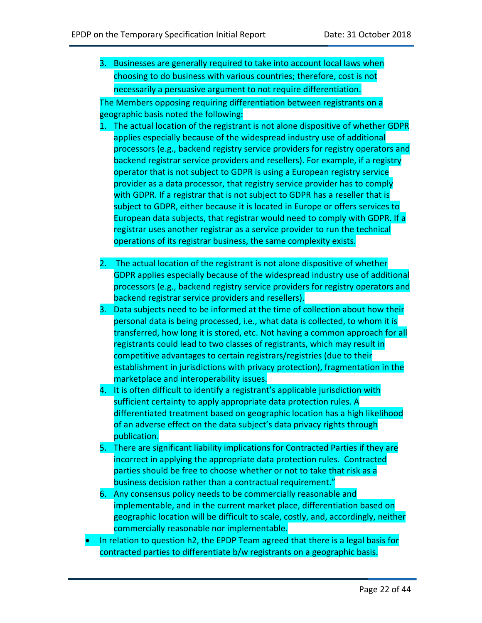3. Businesses are generally required to take into account local laws when choosing to do business with various countries; therefore, cost is not necessarily a persuasive argument to not require differentiation.

The Members opposing requiring differentiation between registrants on a geographic basis noted the following:

- 1. The actual location of the registrant is not alone dispositive of whether GDPR applies especially because of the widespread industry use of additional processors (e.g., backend registry service providers for registry operators and backend registrar service providers and resellers). For example, if a registry operator that is not subject to GDPR is using a European registry service provider as a data processor, that registry service provider has to comply with GDPR. If a registrar that is not subject to GDPR has a reseller that is subject to GDPR, either because it is located in Europe or offers services to European data subjects, that registrar would need to comply with GDPR. If a registrar uses another registrar as a service provider to run the technical operations of its registrar business, the same complexity exists.
- 2. The actual location of the registrant is not alone dispositive of whether GDPR applies especially because of the widespread industry use of additional processors (e.g., backend registry service providers for registry operators and backend registrar service providers and resellers).
- 3. Data subjects need to be informed at the time of collection about how their personal data is being processed, i.e., what data is collected, to whom it is transferred, how long it is stored, etc. Not having a common approach for all registrants could lead to two classes of registrants, which may result in competitive advantages to certain registrars/registries (due to their establishment in jurisdictions with privacy protection), fragmentation in the marketplace and interoperability issues.
- 4. It is often difficult to identify a registrant's applicable jurisdiction with sufficient certainty to apply appropriate data protection rules. A differentiated treatment based on geographic location has a high likelihood of an adverse effect on the data subject's data privacy rights through publication.
- 5. There are significant liability implications for Contracted Parties if they are incorrect in applying the appropriate data protection rules. Contracted parties should be free to choose whether or not to take that risk as a business decision rather than a contractual requirement."
- 6. Any consensus policy needs to be commercially reasonable and implementable, and in the current market place, differentiation based on geographic location will be difficult to scale, costly, and, accordingly, neither commercially reasonable nor implementable.
- In relation to question h2, the EPDP Team agreed that there is a legal basis for contracted parties to differentiate b/w registrants on a geographic basis.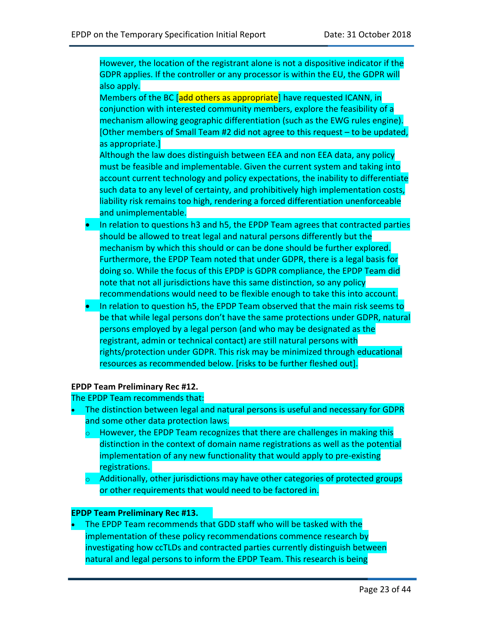However, the location of the registrant alone is not a dispositive indicator if the GDPR applies. If the controller or any processor is within the EU, the GDPR will also apply.

Members of the BC [add others as appropriate] have requested ICANN, in conjunction with interested community members, explore the feasibility of a mechanism allowing geographic differentiation (such as the EWG rules engine). [Other members of Small Team #2 did not agree to this request – to be updated, as appropriate.]

Although the law does distinguish between EEA and non EEA data, any policy must be feasible and implementable. Given the current system and taking into account current technology and policy expectations, the inability to differentiate such data to any level of certainty, and prohibitively high implementation costs, liability risk remains too high, rendering a forced differentiation unenforceable and unimplementable.

- In relation to questions h3 and h5, the EPDP Team agrees that contracted parties should be allowed to treat legal and natural persons differently but the mechanism by which this should or can be done should be further explored. Furthermore, the EPDP Team noted that under GDPR, there is a legal basis for doing so. While the focus of this EPDP is GDPR compliance, the EPDP Team did note that not all jurisdictions have this same distinction, so any policy recommendations would need to be flexible enough to take this into account.
- In relation to question h5, the EPDP Team observed that the main risk seems to be that while legal persons don't have the same protections under GDPR, natural persons employed by a legal person (and who may be designated as the registrant, admin or technical contact) are still natural persons with rights/protection under GDPR. This risk may be minimized through educational resources as recommended below. [risks to be further fleshed out].

#### **EPDP Team Preliminary Rec #12.**

The EPDP Team recommends that:

- The distinction between legal and natural persons is useful and necessary for GDPR and some other data protection laws.
	- $\circ$  However, the EPDP Team recognizes that there are challenges in making this distinction in the context of domain name registrations as well as the potential implementation of any new functionality that would apply to pre-existing registrations.
	- $\circ$  Additionally, other jurisdictions may have other categories of protected groups or other requirements that would need to be factored in.

#### **EPDP Team Preliminary Rec #13.**

• The EPDP Team recommends that GDD staff who will be tasked with the implementation of these policy recommendations commence research by investigating how ccTLDs and contracted parties currently distinguish between natural and legal persons to inform the EPDP Team. This research is being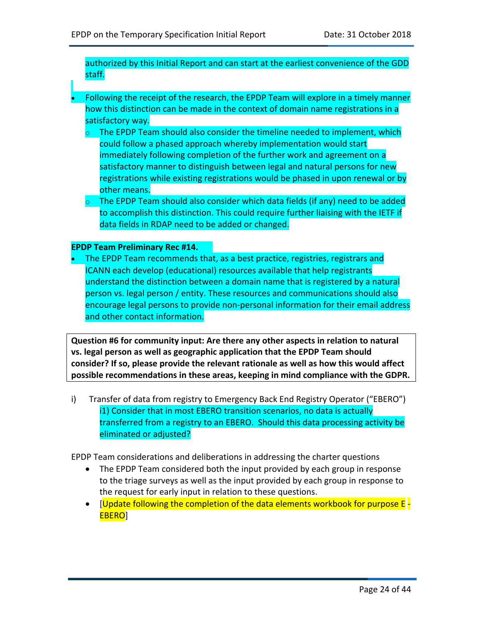authorized by this Initial Report and can start at the earliest convenience of the GDD staff.

- Following the receipt of the research, the EPDP Team will explore in a timely manner how this distinction can be made in the context of domain name registrations in a satisfactory way.
	- $\circ$  The EPDP Team should also consider the timeline needed to implement, which could follow a phased approach whereby implementation would start immediately following completion of the further work and agreement on a satisfactory manner to distinguish between legal and natural persons for new registrations while existing registrations would be phased in upon renewal or by other means.
	- $\circ$  The EPDP Team should also consider which data fields (if any) need to be added to accomplish this distinction. This could require further liaising with the IETF if data fields in RDAP need to be added or changed.

#### **EPDP Team Preliminary Rec #14.**

• The EPDP Team recommends that, as a best practice, registries, registrars and ICANN each develop (educational) resources available that help registrants understand the distinction between a domain name that is registered by a natural person vs. legal person / entity. These resources and communications should also encourage legal persons to provide non-personal information for their email address and other contact information.

**Question #6 for community input: Are there any other aspects in relation to natural vs. legal person as well as geographic application that the EPDP Team should consider? If so, please provide the relevant rationale as well as how this would affect possible recommendations in these areas, keeping in mind compliance with the GDPR.**

i) Transfer of data from registry to Emergency Back End Registry Operator ("EBERO") i1) Consider that in most EBERO transition scenarios, no data is actually transferred from a registry to an EBERO. Should this data processing activity be eliminated or adjusted?

EPDP Team considerations and deliberations in addressing the charter questions

- The EPDP Team considered both the input provided by each group in response to the triage surveys as well as the input provided by each group in response to the request for early input in relation to these questions.
- [Update following the completion of the data elements workbook for purpose E EBERO]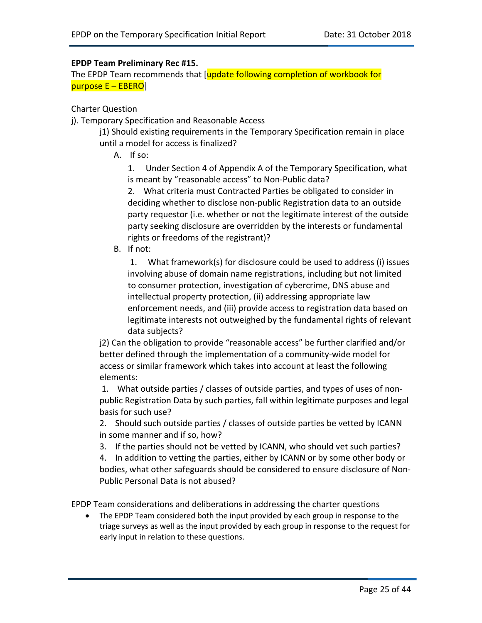#### **EPDP Team Preliminary Rec #15.**

The EPDP Team recommends that [update following completion of workbook for purpose E – EBERO]

#### Charter Question

j). Temporary Specification and Reasonable Access

j1) Should existing requirements in the Temporary Specification remain in place until a model for access is finalized?

A. If so:

1. Under Section 4 of Appendix A of the Temporary Specification, what is meant by "reasonable access" to Non-Public data?

2. What criteria must Contracted Parties be obligated to consider in deciding whether to disclose non-public Registration data to an outside party requestor (i.e. whether or not the legitimate interest of the outside party seeking disclosure are overridden by the interests or fundamental rights or freedoms of the registrant)?

B. If not:

1. What framework(s) for disclosure could be used to address (i) issues involving abuse of domain name registrations, including but not limited to consumer protection, investigation of cybercrime, DNS abuse and intellectual property protection, (ii) addressing appropriate law enforcement needs, and (iii) provide access to registration data based on legitimate interests not outweighed by the fundamental rights of relevant data subjects?

j2) Can the obligation to provide "reasonable access" be further clarified and/or better defined through the implementation of a community-wide model for access or similar framework which takes into account at least the following elements:

1. What outside parties / classes of outside parties, and types of uses of nonpublic Registration Data by such parties, fall within legitimate purposes and legal basis for such use?

2. Should such outside parties / classes of outside parties be vetted by ICANN in some manner and if so, how?

3. If the parties should not be vetted by ICANN, who should vet such parties?

4. In addition to vetting the parties, either by ICANN or by some other body or bodies, what other safeguards should be considered to ensure disclosure of Non-Public Personal Data is not abused?

EPDP Team considerations and deliberations in addressing the charter questions

• The EPDP Team considered both the input provided by each group in response to the triage surveys as well as the input provided by each group in response to the request for early input in relation to these questions.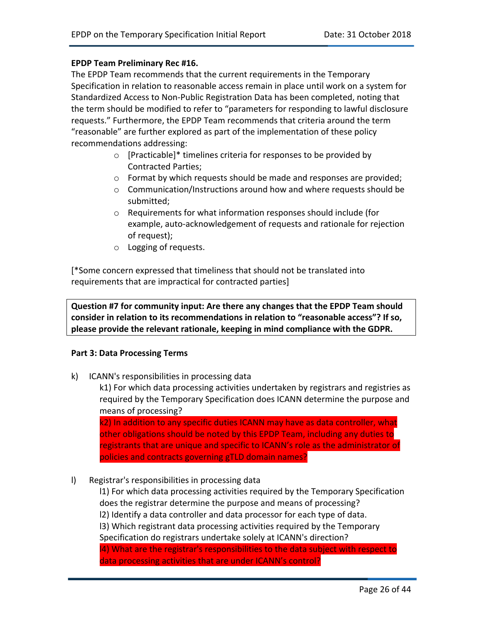#### **EPDP Team Preliminary Rec #16.**

The EPDP Team recommends that the current requirements in the Temporary Specification in relation to reasonable access remain in place until work on a system for Standardized Access to Non-Public Registration Data has been completed, noting that the term should be modified to refer to "parameters for responding to lawful disclosure requests." Furthermore, the EPDP Team recommends that criteria around the term "reasonable" are further explored as part of the implementation of these policy recommendations addressing:

- o [Practicable]\* timelines criteria for responses to be provided by Contracted Parties;
- o Format by which requests should be made and responses are provided;
- o Communication/Instructions around how and where requests should be submitted;
- o Requirements for what information responses should include (for example, auto-acknowledgement of requests and rationale for rejection of request);
- o Logging of requests.

[\*Some concern expressed that timeliness that should not be translated into requirements that are impractical for contracted parties]

**Question #7 for community input: Are there any changes that the EPDP Team should consider in relation to its recommendations in relation to "reasonable access"? If so, please provide the relevant rationale, keeping in mind compliance with the GDPR.** 

#### **Part 3: Data Processing Terms**

k) ICANN's responsibilities in processing data

k1) For which data processing activities undertaken by registrars and registries as required by the Temporary Specification does ICANN determine the purpose and means of processing?

k2) In addition to any specific duties ICANN may have as data controller, what other obligations should be noted by this EPDP Team, including any duties to registrants that are unique and specific to ICANN's role as the administrator of policies and contracts governing gTLD domain names?

l) Registrar's responsibilities in processing data

l1) For which data processing activities required by the Temporary Specification does the registrar determine the purpose and means of processing? l2) Identify a data controller and data processor for each type of data. l3) Which registrant data processing activities required by the Temporary Specification do registrars undertake solely at ICANN's direction? l4) What are the registrar's responsibilities to the data subject with respect to data processing activities that are under ICANN's control?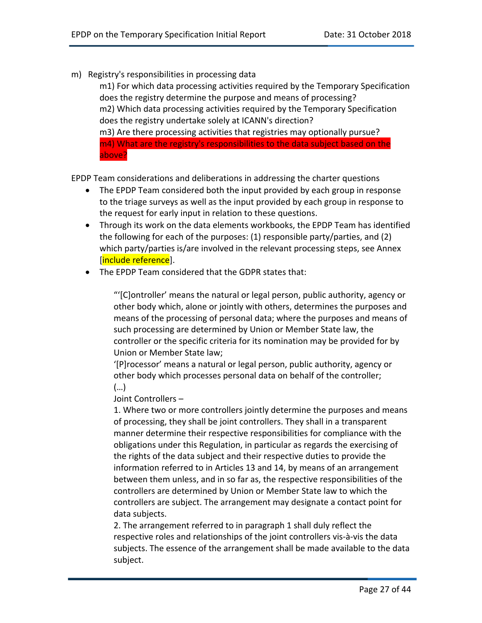m) Registry's responsibilities in processing data

m1) For which data processing activities required by the Temporary Specification does the registry determine the purpose and means of processing? m2) Which data processing activities required by the Temporary Specification does the registry undertake solely at ICANN's direction? m3) Are there processing activities that registries may optionally pursue? m4) What are the registry's responsibilities to the data subject based on the above?

EPDP Team considerations and deliberations in addressing the charter questions

- The EPDP Team considered both the input provided by each group in response to the triage surveys as well as the input provided by each group in response to the request for early input in relation to these questions.
- Through its work on the data elements workbooks, the EPDP Team has identified the following for each of the purposes: (1) responsible party/parties, and (2) which party/parties is/are involved in the relevant processing steps, see Annex [include reference].
- The EPDP Team considered that the GDPR states that:

"'[C]ontroller' means the natural or legal person, public authority, agency or other body which, alone or jointly with others, determines the purposes and means of the processing of personal data; where the purposes and means of such processing are determined by Union or Member State law, the controller or the specific criteria for its nomination may be provided for by Union or Member State law;

'[P]rocessor' means a natural or legal person, public authority, agency or other body which processes personal data on behalf of the controller; (…)

Joint Controllers –

1. Where two or more controllers jointly determine the purposes and means of processing, they shall be joint controllers. They shall in a transparent manner determine their respective responsibilities for compliance with the obligations under this Regulation, in particular as regards the exercising of the rights of the data subject and their respective duties to provide the information referred to in Articles 13 and 14, by means of an arrangement between them unless, and in so far as, the respective responsibilities of the controllers are determined by Union or Member State law to which the controllers are subject. The arrangement may designate a contact point for data subjects.

2. The arrangement referred to in paragraph 1 shall duly reflect the respective roles and relationships of the joint controllers vis-à-vis the data subjects. The essence of the arrangement shall be made available to the data subject.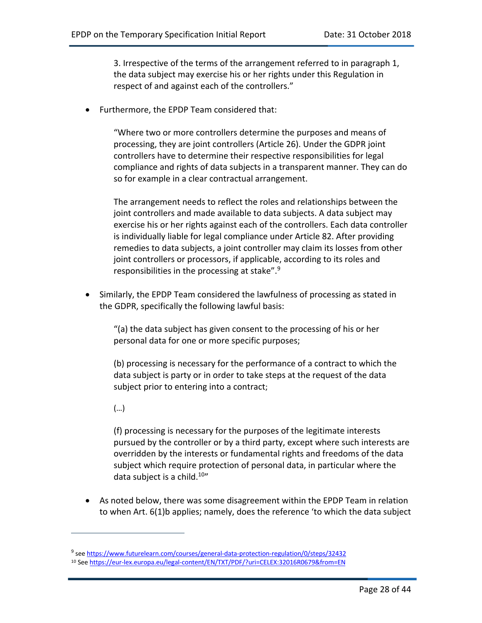3. Irrespective of the terms of the arrangement referred to in paragraph 1, the data subject may exercise his or her rights under this Regulation in respect of and against each of the controllers."

• Furthermore, the EPDP Team considered that:

"Where two or more controllers determine the purposes and means of processing, they are joint controllers (Article 26). Under the GDPR joint controllers have to determine their respective responsibilities for legal compliance and rights of data subjects in a transparent manner. They can do so for example in a clear contractual arrangement.

The arrangement needs to reflect the roles and relationships between the joint controllers and made available to data subjects. A data subject may exercise his or her rights against each of the controllers. Each data controller is individually liable for legal compliance under Article 82. After providing remedies to data subjects, a joint controller may claim its losses from other joint controllers or processors, if applicable, according to its roles and responsibilities in the processing at stake".9

• Similarly, the EPDP Team considered the lawfulness of processing as stated in the GDPR, specifically the following lawful basis:

"(a) the data subject has given consent to the processing of his or her personal data for one or more specific purposes;

(b) processing is necessary for the performance of a contract to which the data subject is party or in order to take steps at the request of the data subject prior to entering into a contract;

(…)

 $\overline{a}$ 

(f) processing is necessary for the purposes of the legitimate interests pursued by the controller or by a third party, except where such interests are overridden by the interests or fundamental rights and freedoms of the data subject which require protection of personal data, in particular where the data subject is a child.<sup>10"</sup>

• As noted below, there was some disagreement within the EPDP Team in relation to when Art. 6(1)b applies; namely, does the reference 'to which the data subject

<sup>9</sup> see https://www.futurelearn.com/courses/general-data-protection-regulation/0/steps/32432

<sup>10</sup> See https://eur-lex.europa.eu/legal-content/EN/TXT/PDF/?uri=CELEX:32016R0679&from=EN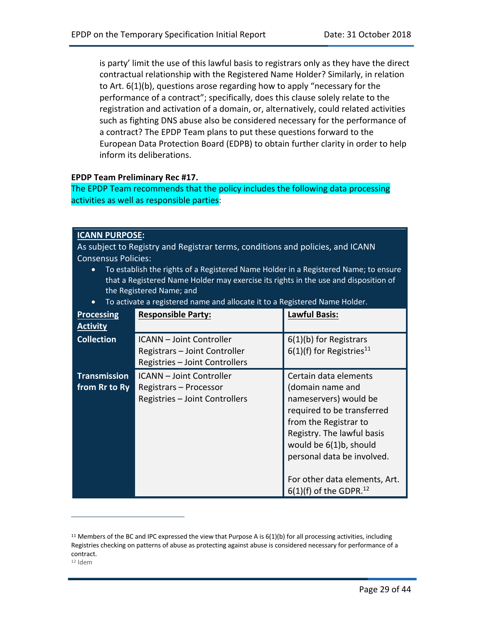is party' limit the use of this lawful basis to registrars only as they have the direct contractual relationship with the Registered Name Holder? Similarly, in relation to Art. 6(1)(b), questions arose regarding how to apply "necessary for the performance of a contract"; specifically, does this clause solely relate to the registration and activation of a domain, or, alternatively, could related activities such as fighting DNS abuse also be considered necessary for the performance of a contract? The EPDP Team plans to put these questions forward to the European Data Protection Board (EDPB) to obtain further clarity in order to help inform its deliberations.

#### **EPDP Team Preliminary Rec #17.**

The EPDP Team recommends that the policy includes the following data processing activities as well as responsible parties:

#### **ICANN PURPOSE:**

 $\overline{a}$ 

As subject to Registry and Registrar terms, conditions and policies, and ICANN Consensus Policies:

- To establish the rights of a Registered Name Holder in a Registered Name; to ensure that a Registered Name Holder may exercise its rights in the use and disposition of the Registered Name; and
- To activate a registered name and allocate it to a Registered Name Holder.

| <b>Processing</b><br><b>Activity</b> | <b>Responsible Party:</b>                                                                          | <b>Lawful Basis:</b>                                                                                                                                                                                                                                                                     |
|--------------------------------------|----------------------------------------------------------------------------------------------------|------------------------------------------------------------------------------------------------------------------------------------------------------------------------------------------------------------------------------------------------------------------------------------------|
| <b>Collection</b>                    | <b>ICANN</b> - Joint Controller<br>Registrars - Joint Controller<br>Registries - Joint Controllers | 6(1)(b) for Registrars<br>$6(1)(f)$ for Registries <sup>11</sup>                                                                                                                                                                                                                         |
| <b>Transmission</b><br>from Rr to Ry | <b>ICANN</b> - Joint Controller<br>Registrars – Processor<br>Registries - Joint Controllers        | Certain data elements<br>(domain name and<br>nameservers) would be<br>required to be transferred<br>from the Registrar to<br>Registry. The lawful basis<br>would be 6(1)b, should<br>personal data be involved.<br>For other data elements, Art.<br>$6(1)(f)$ of the GDPR. <sup>12</sup> |

 $11$  Members of the BC and IPC expressed the view that Purpose A is  $6(1)(b)$  for all processing activities, including Registries checking on patterns of abuse as protecting against abuse is considered necessary for performance of a contract.  $12$  Idem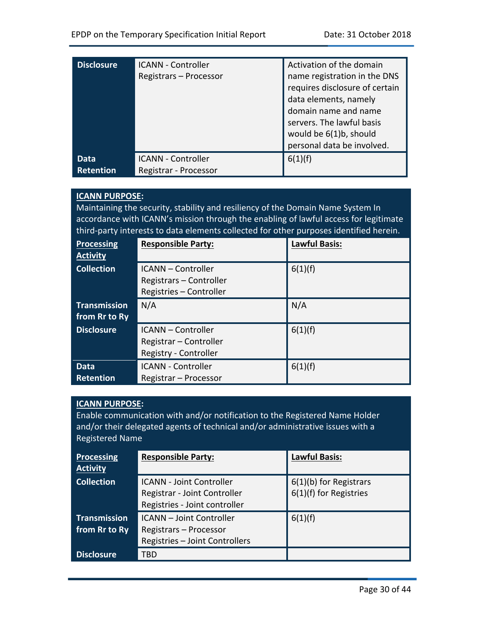| <b>Disclosure</b>        | <b>ICANN - Controller</b><br>Registrars - Processor | Activation of the domain<br>name registration in the DNS<br>requires disclosure of certain<br>data elements, namely<br>domain name and name<br>servers. The lawful basis<br>would be 6(1)b, should<br>personal data be involved. |
|--------------------------|-----------------------------------------------------|----------------------------------------------------------------------------------------------------------------------------------------------------------------------------------------------------------------------------------|
| Data<br><b>Retention</b> | <b>ICANN - Controller</b><br>Registrar - Processor  | 6(1)(f)                                                                                                                                                                                                                          |

#### **ICANN PURPOSE:**

Maintaining the security, stability and resiliency of the Domain Name System In accordance with ICANN's mission through the enabling of lawful access for legitimate third-party interests to data elements collected for other purposes identified herein.

| <b>Processing</b><br><b>Activity</b> | <b>Responsible Party:</b>                                                    | <b>Lawful Basis:</b> |
|--------------------------------------|------------------------------------------------------------------------------|----------------------|
| <b>Collection</b>                    | ICANN – Controller<br>Registrars - Controller<br>Registries - Controller     | 6(1)(f)              |
| <b>Transmission</b><br>from Rr to Ry | N/A                                                                          | N/A                  |
| <b>Disclosure</b>                    | <b>ICANN</b> - Controller<br>Registrar - Controller<br>Registry - Controller | 6(1)(f)              |
| Data<br><b>Retention</b>             | <b>ICANN - Controller</b><br>Registrar - Processor                           | 6(1)(f)              |

#### **ICANN PURPOSE:**

Enable communication with and/or notification to the Registered Name Holder and/or their delegated agents of technical and/or administrative issues with a Registered Name

| <b>Processing</b><br><b>Activity</b> | <b>Responsible Party:</b>       | <b>Lawful Basis:</b>     |
|--------------------------------------|---------------------------------|--------------------------|
| <b>Collection</b>                    | <b>ICANN - Joint Controller</b> | $6(1)(b)$ for Registrars |
|                                      | Registrar - Joint Controller    | 6(1)(f) for Registries   |
|                                      | Registries - Joint controller   |                          |
| <b>Transmission</b>                  | <b>ICANN</b> - Joint Controller | 6(1)(f)                  |
| from Rr to Ry                        | Registrars - Processor          |                          |
|                                      | Registries - Joint Controllers  |                          |
| <b>Disclosure</b>                    | TBD                             |                          |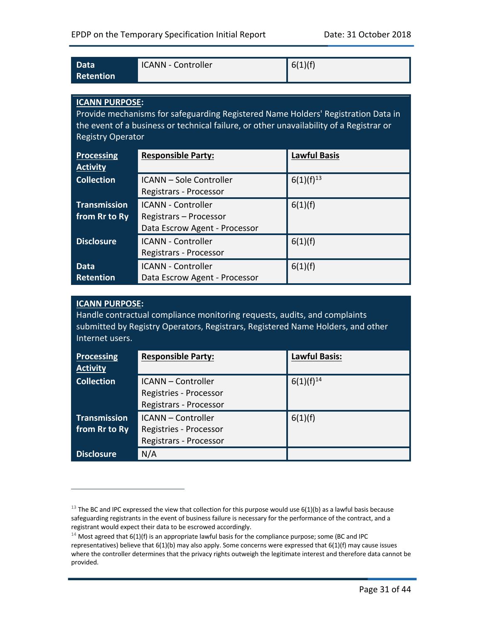| Data      | <b>ICANN - Controller</b> | 6(1)(f) |
|-----------|---------------------------|---------|
| Retention |                           |         |

#### **ICANN PURPOSE:**

Provide mechanisms for safeguarding Registered Name Holders' Registration Data in the event of a business or technical failure, or other unavailability of a Registrar or Registry Operator

| <b>Processing</b><br><b>Activity</b> | <b>Responsible Party:</b>                                                            | <b>Lawful Basis</b> |
|--------------------------------------|--------------------------------------------------------------------------------------|---------------------|
| <b>Collection</b>                    | <b>ICANN - Sole Controller</b><br>Registrars - Processor                             | $6(1)(f)^{13}$      |
| <b>Transmission</b><br>from Rr to Ry | <b>ICANN - Controller</b><br>Registrars - Processor<br>Data Escrow Agent - Processor | 6(1)(f)             |
| <b>Disclosure</b>                    | <b>ICANN - Controller</b><br>Registrars - Processor                                  | 6(1)(f)             |
| <b>Data</b><br><b>Retention</b>      | <b>ICANN - Controller</b><br>Data Escrow Agent - Processor                           | 6(1)(f)             |

#### **ICANN PURPOSE:**

 $\overline{a}$ 

Handle contractual compliance monitoring requests, audits, and complaints submitted by Registry Operators, Registrars, Registered Name Holders, and other Internet users.

| <b>Processing</b><br><b>Activity</b> | <b>Responsible Party:</b>                                                     | <b>Lawful Basis:</b> |
|--------------------------------------|-------------------------------------------------------------------------------|----------------------|
| <b>Collection</b>                    | <b>ICANN</b> - Controller<br>Registries - Processor<br>Registrars - Processor | $6(1)(f)^{14}$       |
| <b>Transmission</b><br>from Rr to Ry | <b>ICANN</b> - Controller<br>Registries - Processor<br>Registrars - Processor | 6(1)(f)              |
| <b>Disclosure</b>                    | N/A                                                                           |                      |

<sup>&</sup>lt;sup>13</sup> The BC and IPC expressed the view that collection for this purpose would use  $6(1)(b)$  as a lawful basis because safeguarding registrants in the event of business failure is necessary for the performance of the contract, and a registrant would expect their data to be escrowed accordingly.<br><sup>14</sup> Most agreed that 6(1)(f) is an appropriate lawful basis for the compliance purpose; some (BC and IPC

representatives) believe that 6(1)(b) may also apply. Some concerns were expressed that 6(1)(f) may cause issues where the controller determines that the privacy rights outweigh the legitimate interest and therefore data cannot be provided.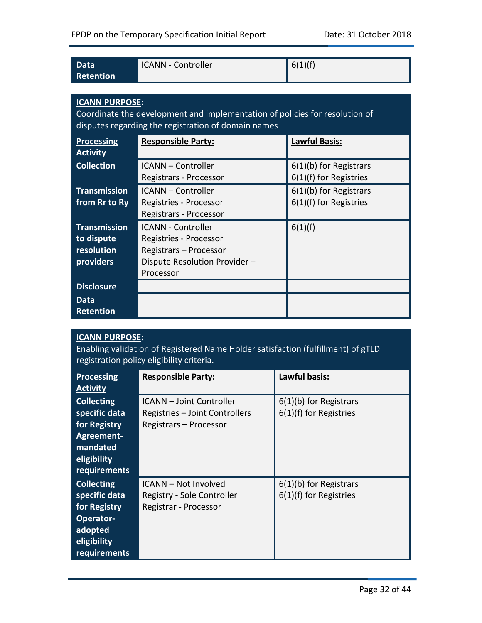| Data<br><b>Retention</b> | <b>ICANN - Controller</b>                                                   | 6(1)(f)                  |
|--------------------------|-----------------------------------------------------------------------------|--------------------------|
|                          |                                                                             |                          |
| <b>ICANN PURPOSE:</b>    |                                                                             |                          |
|                          | Coordinate the development and implementation of policies for resolution of |                          |
|                          | disputes regarding the registration of domain names                         |                          |
| <b>Processing</b>        | <b>Responsible Party:</b>                                                   | <b>Lawful Basis:</b>     |
| <b>Activity</b>          |                                                                             |                          |
| <b>Collection</b>        | <b>ICANN</b> - Controller                                                   | $6(1)(b)$ for Registrars |
|                          | Registrars - Processor                                                      | 6(1)(f) for Registries   |
| <b>Transmission</b>      | <b>ICANN - Controller</b>                                                   | $6(1)(b)$ for Registrars |
| from Rr to Ry            | Registries - Processor                                                      | 6(1)(f) for Registries   |
|                          | Registrars - Processor                                                      |                          |
| <b>Transmission</b>      | <b>ICANN - Controller</b>                                                   | 6(1)(f)                  |
| to dispute               | Registries - Processor                                                      |                          |
| <b>resolution</b>        | Registrars - Processor                                                      |                          |
| providers                | Dispute Resolution Provider -                                               |                          |
|                          | Processor                                                                   |                          |
| <b>Disclosure</b>        |                                                                             |                          |
| <b>Data</b>              |                                                                             |                          |
| <b>Retention</b>         |                                                                             |                          |

### **ICANN PURPOSE:**

Enabling validation of Registered Name Holder satisfaction (fulfillment) of gTLD registration policy eligibility criteria.

| <b>Processing</b><br><b>Activity</b>                                                                        | <b>Responsible Party:</b>                                                                   | Lawful basis:                                      |
|-------------------------------------------------------------------------------------------------------------|---------------------------------------------------------------------------------------------|----------------------------------------------------|
| <b>Collecting</b><br>specific data<br>for Registry<br>Agreement-<br>mandated<br>eligibility<br>requirements | <b>ICANN</b> - Joint Controller<br>Registries - Joint Controllers<br>Registrars - Processor | $6(1)(b)$ for Registrars<br>6(1)(f) for Registries |
| <b>Collecting</b><br>specific data<br>for Registry<br>Operator-<br>adopted<br>eligibility<br>requirements   | <b>ICANN - Not Involved</b><br>Registry - Sole Controller<br>Registrar - Processor          | 6(1)(b) for Registrars<br>6(1)(f) for Registries   |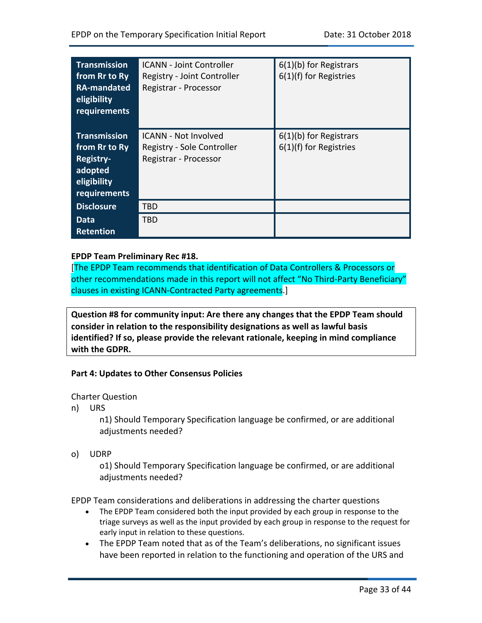| <b>Transmission</b><br>from Rr to Ry<br>RA-mandated<br>eligibility<br>requirements          | <b>ICANN - Joint Controller</b><br>Registry - Joint Controller<br>Registrar - Processor | $6(1)(b)$ for Registrars<br>$6(1)(f)$ for Registries |
|---------------------------------------------------------------------------------------------|-----------------------------------------------------------------------------------------|------------------------------------------------------|
| <b>Transmission</b><br>from Rr to Ry<br>Registry-<br>adopted<br>eligibility<br>requirements | <b>ICANN - Not Involved</b><br>Registry - Sole Controller<br>Registrar - Processor      | $6(1)(b)$ for Registrars<br>$6(1)(f)$ for Registries |
| <b>Disclosure</b>                                                                           | TBD                                                                                     |                                                      |
| Data<br><b>Retention</b>                                                                    | TBD                                                                                     |                                                      |

#### **EPDP Team Preliminary Rec #18.**

[The EPDP Team recommends that identification of Data Controllers & Processors or other recommendations made in this report will not affect "No Third-Party Beneficiary" clauses in existing ICANN-Contracted Party agreements.]

**Question #8 for community input: Are there any changes that the EPDP Team should consider in relation to the responsibility designations as well as lawful basis identified? If so, please provide the relevant rationale, keeping in mind compliance with the GDPR.** 

#### **Part 4: Updates to Other Consensus Policies**

Charter Question

n) URS

n1) Should Temporary Specification language be confirmed, or are additional adjustments needed?

o) UDRP

o1) Should Temporary Specification language be confirmed, or are additional adjustments needed?

EPDP Team considerations and deliberations in addressing the charter questions

- The EPDP Team considered both the input provided by each group in response to the triage surveys as well as the input provided by each group in response to the request for early input in relation to these questions.
- The EPDP Team noted that as of the Team's deliberations, no significant issues have been reported in relation to the functioning and operation of the URS and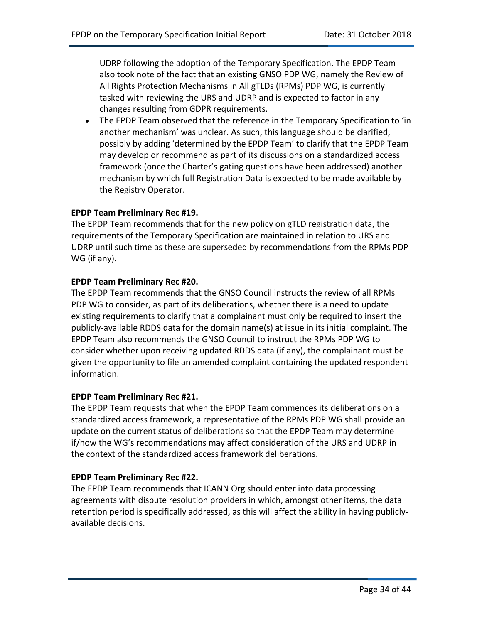UDRP following the adoption of the Temporary Specification. The EPDP Team also took note of the fact that an existing GNSO PDP WG, namely the Review of All Rights Protection Mechanisms in All gTLDs (RPMs) PDP WG, is currently tasked with reviewing the URS and UDRP and is expected to factor in any changes resulting from GDPR requirements.

• The EPDP Team observed that the reference in the Temporary Specification to 'in another mechanism' was unclear. As such, this language should be clarified, possibly by adding 'determined by the EPDP Team' to clarify that the EPDP Team may develop or recommend as part of its discussions on a standardized access framework (once the Charter's gating questions have been addressed) another mechanism by which full Registration Data is expected to be made available by the Registry Operator.

#### **EPDP Team Preliminary Rec #19.**

The EPDP Team recommends that for the new policy on gTLD registration data, the requirements of the Temporary Specification are maintained in relation to URS and UDRP until such time as these are superseded by recommendations from the RPMs PDP WG (if any).

#### **EPDP Team Preliminary Rec #20.**

The EPDP Team recommends that the GNSO Council instructs the review of all RPMs PDP WG to consider, as part of its deliberations, whether there is a need to update existing requirements to clarify that a complainant must only be required to insert the publicly-available RDDS data for the domain name(s) at issue in its initial complaint. The EPDP Team also recommends the GNSO Council to instruct the RPMs PDP WG to consider whether upon receiving updated RDDS data (if any), the complainant must be given the opportunity to file an amended complaint containing the updated respondent information.

#### **EPDP Team Preliminary Rec #21.**

The EPDP Team requests that when the EPDP Team commences its deliberations on a standardized access framework, a representative of the RPMs PDP WG shall provide an update on the current status of deliberations so that the EPDP Team may determine if/how the WG's recommendations may affect consideration of the URS and UDRP in the context of the standardized access framework deliberations.

#### **EPDP Team Preliminary Rec #22.**

The EPDP Team recommends that ICANN Org should enter into data processing agreements with dispute resolution providers in which, amongst other items, the data retention period is specifically addressed, as this will affect the ability in having publiclyavailable decisions.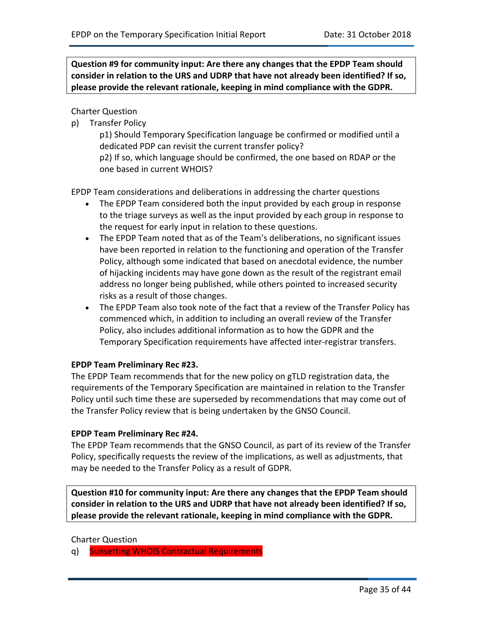**Question #9 for community input: Are there any changes that the EPDP Team should consider in relation to the URS and UDRP that have not already been identified? If so, please provide the relevant rationale, keeping in mind compliance with the GDPR.** 

Charter Question

p) Transfer Policy

p1) Should Temporary Specification language be confirmed or modified until a dedicated PDP can revisit the current transfer policy?

p2) If so, which language should be confirmed, the one based on RDAP or the one based in current WHOIS?

EPDP Team considerations and deliberations in addressing the charter questions

- The EPDP Team considered both the input provided by each group in response to the triage surveys as well as the input provided by each group in response to the request for early input in relation to these questions.
- The EPDP Team noted that as of the Team's deliberations, no significant issues have been reported in relation to the functioning and operation of the Transfer Policy, although some indicated that based on anecdotal evidence, the number of hijacking incidents may have gone down as the result of the registrant email address no longer being published, while others pointed to increased security risks as a result of those changes.
- The EPDP Team also took note of the fact that a review of the Transfer Policy has commenced which, in addition to including an overall review of the Transfer Policy, also includes additional information as to how the GDPR and the Temporary Specification requirements have affected inter-registrar transfers.

#### **EPDP Team Preliminary Rec #23.**

The EPDP Team recommends that for the new policy on gTLD registration data, the requirements of the Temporary Specification are maintained in relation to the Transfer Policy until such time these are superseded by recommendations that may come out of the Transfer Policy review that is being undertaken by the GNSO Council.

#### **EPDP Team Preliminary Rec #24.**

The EPDP Team recommends that the GNSO Council, as part of its review of the Transfer Policy, specifically requests the review of the implications, as well as adjustments, that may be needed to the Transfer Policy as a result of GDPR.

**Question #10 for community input: Are there any changes that the EPDP Team should consider in relation to the URS and UDRP that have not already been identified? If so, please provide the relevant rationale, keeping in mind compliance with the GDPR.** 

#### Charter Question

q) Sunsetting WHOIS Contractual Requirements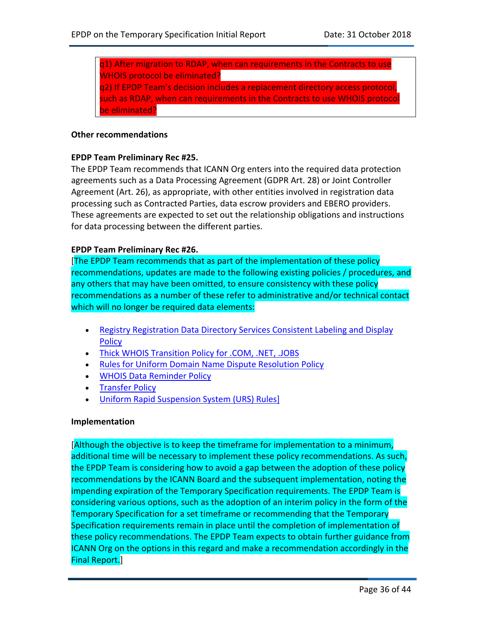q1) After migration to RDAP, when can requirements in the Contracts to use WHOIS protocol be eliminated? q2) If EPDP Team's decision includes a replacement directory access protocol, such as RDAP, when can requirements in the Contracts to use WHOIS protocol be eliminated?

#### **Other recommendations**

#### **EPDP Team Preliminary Rec #25.**

The EPDP Team recommends that ICANN Org enters into the required data protection agreements such as a Data Processing Agreement (GDPR Art. 28) or Joint Controller Agreement (Art. 26), as appropriate, with other entities involved in registration data processing such as Contracted Parties, data escrow providers and EBERO providers. These agreements are expected to set out the relationship obligations and instructions for data processing between the different parties.

#### **EPDP Team Preliminary Rec #26.**

[The EPDP Team recommends that as part of the implementation of these policy recommendations, updates are made to the following existing policies / procedures, and any others that may have been omitted, to ensure consistency with these policy recommendations as a number of these refer to administrative and/or technical contact which will no longer be required data elements:

- Registry Registration Data Directory Services Consistent Labeling and Display Policy
- Thick WHOIS Transition Policy for .COM, .NET, .JOBS
- Rules for Uniform Domain Name Dispute Resolution Policy
- WHOIS Data Reminder Policy
- Transfer Policy
- Uniform Rapid Suspension System (URS) Rules]

#### **Implementation**

[Although the objective is to keep the timeframe for implementation to a minimum, additional time will be necessary to implement these policy recommendations. As such, the EPDP Team is considering how to avoid a gap between the adoption of these policy recommendations by the ICANN Board and the subsequent implementation, noting the impending expiration of the Temporary Specification requirements. The EPDP Team is considering various options, such as the adoption of an interim policy in the form of the Temporary Specification for a set timeframe or recommending that the Temporary Specification requirements remain in place until the completion of implementation of these policy recommendations. The EPDP Team expects to obtain further guidance from ICANN Org on the options in this regard and make a recommendation accordingly in the Final Report.]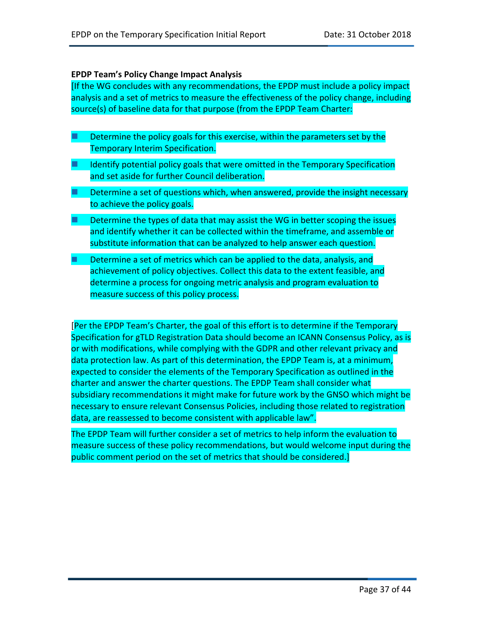#### **EPDP Team's Policy Change Impact Analysis**

[If the WG concludes with any recommendations, the EPDP must include a policy impact analysis and a set of metrics to measure the effectiveness of the policy change, including source(s) of baseline data for that purpose (from the EPDP Team Charter:

- $\blacksquare$  Determine the policy goals for this exercise, within the parameters set by the Temporary Interim Specification.
- $\blacksquare$  Identify potential policy goals that were omitted in the Temporary Specification and set aside for further Council deliberation.
- $\blacksquare$  Determine a set of questions which, when answered, provide the insight necessary to achieve the policy goals.
- $\blacksquare$  Determine the types of data that may assist the WG in better scoping the issues and identify whether it can be collected within the timeframe, and assemble or substitute information that can be analyzed to help answer each question.
- Determine a set of metrics which can be applied to the data, analysis, and achievement of policy objectives. Collect this data to the extent feasible, and determine a process for ongoing metric analysis and program evaluation to measure success of this policy process.

[Per the EPDP Team's Charter, the goal of this effort is to determine if the Temporary Specification for gTLD Registration Data should become an ICANN Consensus Policy, as is or with modifications, while complying with the GDPR and other relevant privacy and data protection law. As part of this determination, the EPDP Team is, at a minimum, expected to consider the elements of the Temporary Specification as outlined in the charter and answer the charter questions. The EPDP Team shall consider what subsidiary recommendations it might make for future work by the GNSO which might be necessary to ensure relevant Consensus Policies, including those related to registration data, are reassessed to become consistent with applicable law".

The EPDP Team will further consider a set of metrics to help inform the evaluation to measure success of these policy recommendations, but would welcome input during the public comment period on the set of metrics that should be considered.]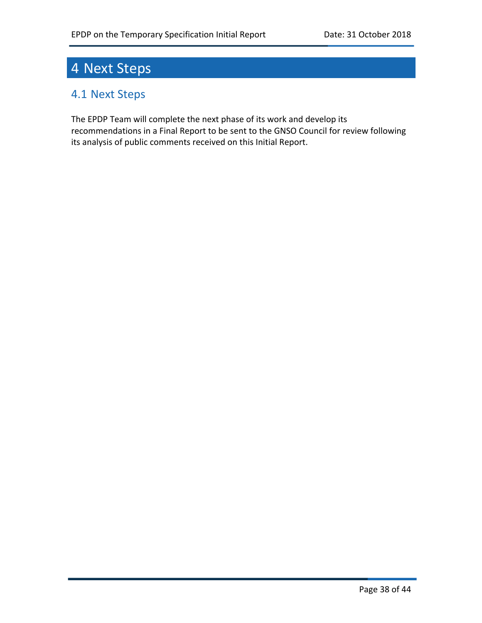# 4 Next Steps

# 4.1 Next Steps

The EPDP Team will complete the next phase of its work and develop its recommendations in a Final Report to be sent to the GNSO Council for review following its analysis of public comments received on this Initial Report.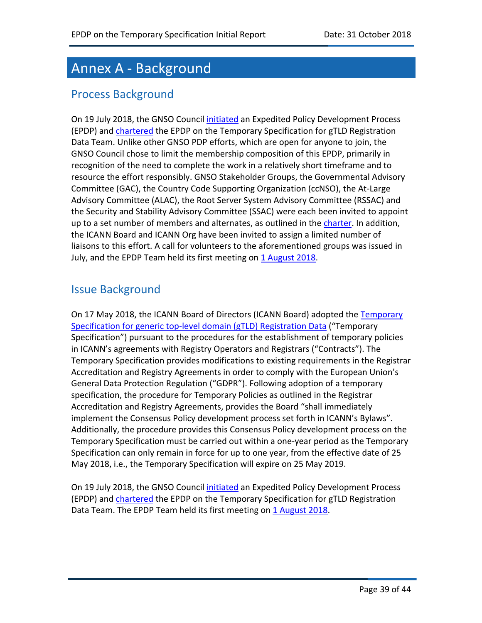# Annex A - Background

### Process Background

On 19 July 2018, the GNSO Council initiated an Expedited Policy Development Process (EPDP) and chartered the EPDP on the Temporary Specification for gTLD Registration Data Team. Unlike other GNSO PDP efforts, which are open for anyone to join, the GNSO Council chose to limit the membership composition of this EPDP, primarily in recognition of the need to complete the work in a relatively short timeframe and to resource the effort responsibly. GNSO Stakeholder Groups, the Governmental Advisory Committee (GAC), the Country Code Supporting Organization (ccNSO), the At-Large Advisory Committee (ALAC), the Root Server System Advisory Committee (RSSAC) and the Security and Stability Advisory Committee (SSAC) were each been invited to appoint up to a set number of members and alternates, as outlined in the charter. In addition, the ICANN Board and ICANN Org have been invited to assign a limited number of liaisons to this effort. A call for volunteers to the aforementioned groups was issued in July, and the EPDP Team held its first meeting on 1 August 2018.

# Issue Background

On 17 May 2018, the ICANN Board of Directors (ICANN Board) adopted the Temporary Specification for generic top-level domain (gTLD) Registration Data ("Temporary Specification") pursuant to the procedures for the establishment of temporary policies in ICANN's agreements with Registry Operators and Registrars ("Contracts"). The Temporary Specification provides modifications to existing requirements in the Registrar Accreditation and Registry Agreements in order to comply with the European Union's General Data Protection Regulation ("GDPR"). Following adoption of a temporary specification, the procedure for Temporary Policies as outlined in the Registrar Accreditation and Registry Agreements, provides the Board "shall immediately implement the Consensus Policy development process set forth in ICANN's Bylaws". Additionally, the procedure provides this Consensus Policy development process on the Temporary Specification must be carried out within a one-year period as the Temporary Specification can only remain in force for up to one year, from the effective date of 25 May 2018, i.e., the Temporary Specification will expire on 25 May 2019.

On 19 July 2018, the GNSO Council initiated an Expedited Policy Development Process (EPDP) and chartered the EPDP on the Temporary Specification for gTLD Registration Data Team. The EPDP Team held its first meeting on 1 August 2018.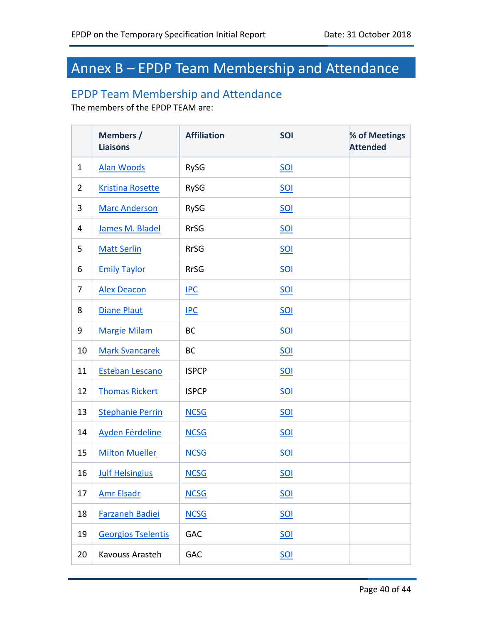# Annex B – EPDP Team Membership and Attendance

### EPDP Team Membership and Attendance

The members of the EPDP TEAM are:

|                | Members /<br><b>Liaisons</b> | <b>Affiliation</b> | SOI        | % of Meetings<br><b>Attended</b> |
|----------------|------------------------------|--------------------|------------|----------------------------------|
| $\mathbf{1}$   | <b>Alan Woods</b>            | RySG               | $SOL$      |                                  |
| $\overline{2}$ | <b>Kristina Rosette</b>      | <b>RySG</b>        | SOI        |                                  |
| 3              | <b>Marc Anderson</b>         | <b>RySG</b>        | <b>SOI</b> |                                  |
| 4              | James M. Bladel              | <b>RrSG</b>        | SOI        |                                  |
| 5              | <b>Matt Serlin</b>           | <b>RrSG</b>        | <b>SOI</b> |                                  |
| 6              | <b>Emily Taylor</b>          | <b>RrSG</b>        | SOI        |                                  |
| 7              | <b>Alex Deacon</b>           | IPC                | $SOL$      |                                  |
| 8              | <b>Diane Plaut</b>           | <b>IPC</b>         | <b>SOI</b> |                                  |
| 9              | <b>Margie Milam</b>          | <b>BC</b>          | SOI        |                                  |
| 10             | <b>Mark Svancarek</b>        | <b>BC</b>          | SOI        |                                  |
| 11             | Esteban Lescano              | <b>ISPCP</b>       | <b>SOI</b> |                                  |
| 12             | <b>Thomas Rickert</b>        | <b>ISPCP</b>       | $SOL$      |                                  |
| 13             | <b>Stephanie Perrin</b>      | <b>NCSG</b>        | $SOL$      |                                  |
| 14             | Ayden Férdeline              | <b>NCSG</b>        | <b>SOI</b> |                                  |
| 15             | <b>Milton Mueller</b>        | <b>NCSG</b>        | <b>SOI</b> |                                  |
| 16             | <b>Julf Helsingius</b>       | <b>NCSG</b>        | SOI        |                                  |
| 17             | <b>Amr Elsadr</b>            | <b>NCSG</b>        | SOI        |                                  |
| 18             | Farzaneh Badiei              | <b>NCSG</b>        | <b>SOI</b> |                                  |
| 19             | <b>Georgios Tselentis</b>    | GAC                | SOI        |                                  |
| 20             | Kavouss Arasteh              | GAC                | <b>SOI</b> |                                  |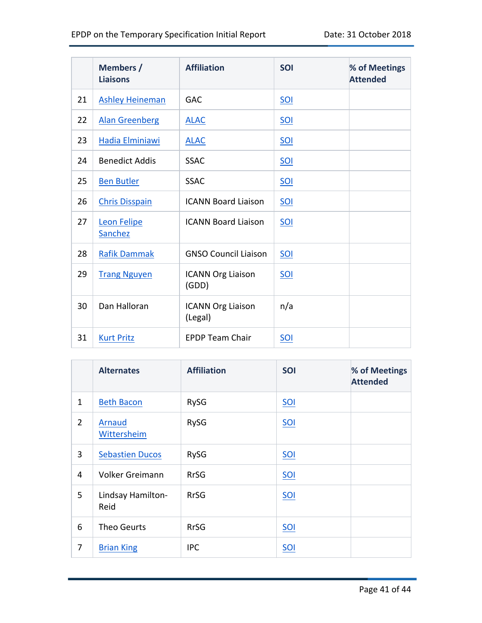|    | Members /<br><b>Liaisons</b> | <b>Affiliation</b>                  | <b>SOI</b> | % of Meetings<br><b>Attended</b> |
|----|------------------------------|-------------------------------------|------------|----------------------------------|
| 21 | <b>Ashley Heineman</b>       | <b>GAC</b>                          | <b>SOI</b> |                                  |
| 22 | <b>Alan Greenberg</b>        | <b>ALAC</b>                         | <u>SOI</u> |                                  |
| 23 | Hadia Elminiawi              | <b>ALAC</b>                         | <u>SOI</u> |                                  |
| 24 | <b>Benedict Addis</b>        | <b>SSAC</b>                         | <u>SOI</u> |                                  |
| 25 | <b>Ben Butler</b>            | <b>SSAC</b>                         | $SOL$      |                                  |
| 26 | <b>Chris Disspain</b>        | <b>ICANN Board Liaison</b>          | <u>SOI</u> |                                  |
| 27 | Leon Felipe<br>Sanchez       | <b>ICANN Board Liaison</b>          | <u>SOI</u> |                                  |
| 28 | <b>Rafik Dammak</b>          | <b>GNSO Council Liaison</b>         | <u>SOI</u> |                                  |
| 29 | <b>Trang Nguyen</b>          | <b>ICANN Org Liaison</b><br>(GDD)   | SOI        |                                  |
| 30 | Dan Halloran                 | <b>ICANN Org Liaison</b><br>(Legal) | n/a        |                                  |
| 31 | <b>Kurt Pritz</b>            | <b>EPDP Team Chair</b>              | <u>SOI</u> |                                  |

|                | <b>Alternates</b>         | <b>Affiliation</b> | SOI        | % of Meetings<br><b>Attended</b> |
|----------------|---------------------------|--------------------|------------|----------------------------------|
| $\mathbf{1}$   | <b>Beth Bacon</b>         | <b>RySG</b>        | <u>SOI</u> |                                  |
| $\overline{2}$ | Arnaud<br>Wittersheim     | RySG               | $SOL$      |                                  |
| 3              | <b>Sebastien Ducos</b>    | <b>RySG</b>        | SOI        |                                  |
| 4              | <b>Volker Greimann</b>    | <b>RrSG</b>        | <u>SOI</u> |                                  |
| 5              | Lindsay Hamilton-<br>Reid | <b>RrSG</b>        | $SOL$      |                                  |
| 6              | <b>Theo Geurts</b>        | <b>RrSG</b>        | $SOL$      |                                  |
| 7              | <b>Brian King</b>         | <b>IPC</b>         | $SOL$      |                                  |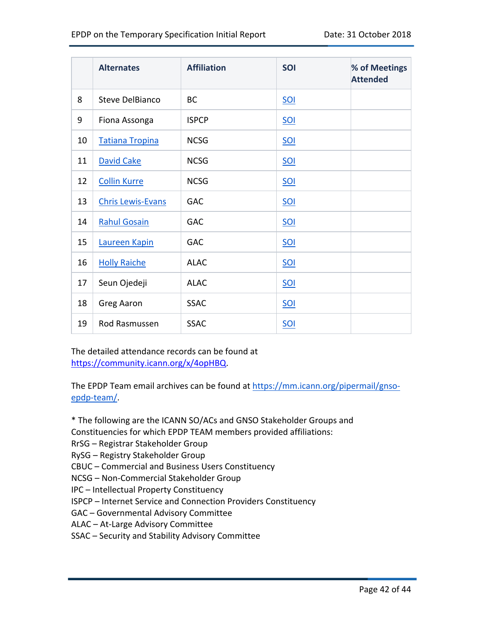|    | <b>Alternates</b>        | <b>Affiliation</b> | SOI        | % of Meetings<br><b>Attended</b> |
|----|--------------------------|--------------------|------------|----------------------------------|
| 8  | <b>Steve DelBianco</b>   | <b>BC</b>          | $SOL$      |                                  |
| 9  | Fiona Assonga            | <b>ISPCP</b>       | <u>SOI</u> |                                  |
| 10 | <b>Tatiana Tropina</b>   | <b>NCSG</b>        | $SOL$      |                                  |
| 11 | David Cake               | <b>NCSG</b>        | <u>SOI</u> |                                  |
| 12 | <b>Collin Kurre</b>      | <b>NCSG</b>        | <u>SOI</u> |                                  |
| 13 | <b>Chris Lewis-Evans</b> | <b>GAC</b>         | <u>SOI</u> |                                  |
| 14 | <b>Rahul Gosain</b>      | <b>GAC</b>         | $SOL$      |                                  |
| 15 | Laureen Kapin            | <b>GAC</b>         | <u>SOI</u> |                                  |
| 16 | <b>Holly Raiche</b>      | <b>ALAC</b>        | $SOL$      |                                  |
| 17 | Seun Ojedeji             | <b>ALAC</b>        | <u>SOI</u> |                                  |
| 18 | <b>Greg Aaron</b>        | <b>SSAC</b>        | <u>SOI</u> |                                  |
| 19 | Rod Rasmussen            | <b>SSAC</b>        | $SOL$      |                                  |

The detailed attendance records can be found at https://community.icann.org/x/4opHBQ.

The EPDP Team email archives can be found at https://mm.icann.org/pipermail/gnsoepdp-team/.

\* The following are the ICANN SO/ACs and GNSO Stakeholder Groups and

Constituencies for which EPDP TEAM members provided affiliations:

RrSG – Registrar Stakeholder Group

RySG – Registry Stakeholder Group

CBUC – Commercial and Business Users Constituency

NCSG – Non-Commercial Stakeholder Group

IPC – Intellectual Property Constituency

ISPCP – Internet Service and Connection Providers Constituency

GAC – Governmental Advisory Committee

ALAC – At-Large Advisory Committee

SSAC – Security and Stability Advisory Committee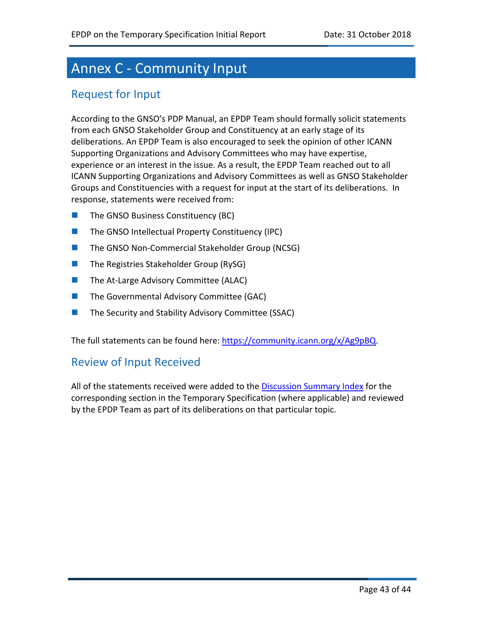# Annex C - Community Input

### Request for Input

According to the GNSO's PDP Manual, an EPDP Team should formally solicit statements from each GNSO Stakeholder Group and Constituency at an early stage of its deliberations. An EPDP Team is also encouraged to seek the opinion of other ICANN Supporting Organizations and Advisory Committees who may have expertise, experience or an interest in the issue. As a result, the EPDP Team reached out to all ICANN Supporting Organizations and Advisory Committees as well as GNSO Stakeholder Groups and Constituencies with a request for input at the start of its deliberations. In response, statements were received from:

- **n** The GNSO Business Constituency (BC)
- $\blacksquare$  The GNSO Intellectual Property Constituency (IPC)
- The GNSO Non-Commercial Stakeholder Group (NCSG)
- $\blacksquare$  The Registries Stakeholder Group (RySG)
- **n** The At-Large Advisory Committee (ALAC)
- $\blacksquare$  The Governmental Advisory Committee (GAC)
- **n** The Security and Stability Advisory Committee (SSAC)

The full statements can be found here: https://community.icann.org/x/Ag9pBQ.

### Review of Input Received

All of the statements received were added to the Discussion Summary Index for the corresponding section in the Temporary Specification (where applicable) and reviewed by the EPDP Team as part of its deliberations on that particular topic.